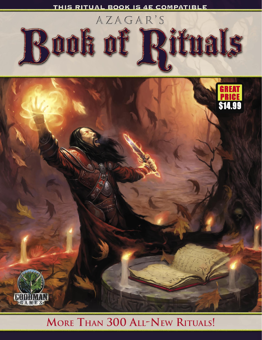





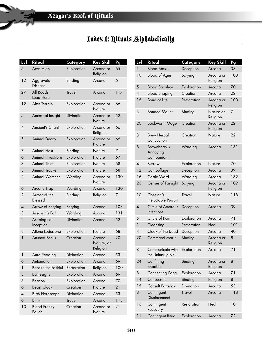# Index 1: Rituals Alphabetically

| Lvl            | Ritual                       | Category      | <b>Key Skill</b>                  | Pg  |
|----------------|------------------------------|---------------|-----------------------------------|-----|
| 5              | Aces High                    | Exploration   | Arcana or<br>Religion             | 65  |
| 12             | Aggravate<br>Disease         | Binding       | Arcana                            | 6   |
| 27             | All Roads<br>Lead Here       | <b>Travel</b> | Arcana                            | 117 |
| 12             | Alter Terrain                | Exploration   | Arcana or<br>Nature               | 66  |
| 5              | Ancestral Insight            | Divination    | Arcana or<br>Nature               | 52  |
| $\overline{A}$ | Ancient's Chant              | Exploration   | Arcana or<br>Religion             | 66  |
| 5              | <b>Animal Decoy</b>          | Exploration   | Arcana or<br>Nature               | 66  |
| 7              | <b>Animal Host</b>           | Binding       | Nature                            | 7   |
| 6              | Animal Investiture           | Exploration   | Nature                            | 67  |
| 3              | <b>Animal Thief</b>          | Exploration   | Nature                            | 68  |
| 3              | <b>Animal Tracker</b>        | Exploration   | Nature                            | 68  |
| 2              | <b>Animal Watcher</b>        | Warding       | Arcana or<br>Nature               | 130 |
| 6              | Arcane Trap                  | Warding       | Arcana                            | 130 |
| 2              | Armor of the<br>Blessed      | Binding       | Religion                          | 7   |
| 4              | Arrow of Scrying             | Scrying       | Arcana                            | 108 |
| 3              | Assassin's Foil              | Warding       | Arcana                            | 131 |
| $\overline{2}$ | Astrological<br>Inception    | Divination    | Arcana                            | 52  |
| 8              | Attune Lodestone             | Exploration   | Nature                            | 68  |
| 1              | <b>Attuned Focus</b>         | Creation      | Arcana,<br>Nature, or<br>Religion | 20  |
| 1              | Aura Reading                 | Divination    | Arcana                            | 53  |
| 6              | Automation                   | Exploration   | Arcana                            | 69  |
| 1              | <b>Baptize the Faithful</b>  | Restoration   | Religion                          | 100 |
| 3              | <b>Battlesigns</b>           | Exploration   | Arcana                            | 69  |
| 8              | Beacon                       | Exploration   | Arcana                            | 70  |
| 6              | <b>Beast Cloak</b>           | Creation      | Nature                            | 21  |
| 4              | <b>Birth Horoscope</b>       | Divination    | Arcana                            | 53  |
| 6              | <b>Blink</b>                 | <b>Travel</b> | Arcana                            | 118 |
| 10             | <b>Blood Frenzy</b><br>Pouch | Creation      | Arcana or<br>Nature               | 21  |

| Lvl                      | Ritual                                 | Category      | <b>Key Skill</b>      | Pg  |
|--------------------------|----------------------------------------|---------------|-----------------------|-----|
| 1                        | <b>Blood Mask</b>                      | Deception     | Arcana                | 38  |
| 10                       | <b>Blood of Ages</b>                   | Scrying       | Arcana or<br>Religion | 108 |
| 5                        | <b>Blood Sacrifice</b>                 | Exploration   | Arcana                | 70  |
| $\overline{A}$           | <b>Blood Shaping</b>                   | Creation      | Arcana                | 22  |
| 16                       | Bond of Life                           | Restoration   | Arcana or<br>Religion | 100 |
| 3                        | <b>Bonded Mount</b>                    | Binding       | Nature or<br>Religion | 7   |
| 20                       | <b>Bookworm Mage</b>                   | Creation      | Arcana or<br>Religion | 22  |
| 3                        | <b>Brew Herbal</b><br>Concoction       | Creation      | Nature                | 22  |
| 8                        | Brownberry's<br>Annoying<br>Companion  | Warding       | Arcana                | 131 |
| 4                        | <b>Burrow</b>                          | Exploration   | Nature                | 70  |
| 12                       | Camouflage                             | Deception     | Arcana                | 39  |
| 16                       | Castle Ward                            | Warding       | Arcana                | 132 |
| 26                       | Censer of Farsight                     | Scrying       | Arcana or<br>Religion | 109 |
| 10                       | Cheetah's<br>Ineluctable Pursuit       | <b>Travel</b> | Nature                | 118 |
| $\overline{4}$           | Circle of Amorous<br>Intentions        | Deception     | Arcana                | 39  |
| 5                        | Circle of Ruin                         | Exploration   | Arcana                | 71  |
| $\mathbf{1}$             | Cleansing                              | Restoration   | Heal                  | 101 |
| $\overline{\mathcal{A}}$ | Cloak of the Dead                      | Deception     | Arcana                | 40  |
| 20                       | <b>Command Marut</b>                   | Binding       | Arcana or<br>Religion | 8   |
| 8                        | Communicate with<br>the Unintelligible | Exploration   | Arcana                | 71  |
| 24                       | Confining<br><b>Shackles</b>           | Binding       | Arcana or<br>Religion | 8   |
| 8                        | Connecting Song                        | Exploration   | Arcana                | 71  |
| 14                       | Consecrate                             | Binding       | Religion              | 8   |
| 15                       | <b>Consult Paradox</b>                 | Divination    | Arcana                | 53  |
| 8                        | Contingent<br>Displacement             | <b>Travel</b> | Arcana                | 118 |
| 16                       | Contingent<br>Recovery                 | Restoration   | Heal                  | 101 |
| 11                       | Contingent Ritual                      | Exploration   | Arcana                | 72  |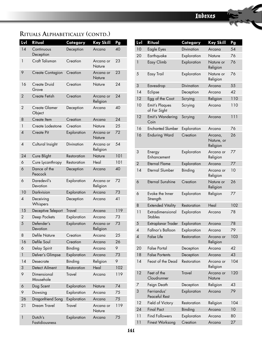| Lvl            | Ritual                    | Category      | <b>Key Skill</b>      | Pg  |
|----------------|---------------------------|---------------|-----------------------|-----|
| 14             | Continuous<br>Deception   | Deception     | Arcana                | 40  |
| $\mathbf{1}$   | Craft Talisman            | Creation      | Arcana or<br>Nature   | 23  |
| 9              | Create Contagion          | Creation      | Arcana or<br>Nature   | 23  |
| 16             | Create Druid<br>Grove     | Creation      | Nature                | 24  |
| $\overline{2}$ | Create Fetish             | Creation      | Arcana or<br>Religion | 24  |
| 2              | Create Glamer<br>Object   | Deception     | Arcana                | 40  |
| 8              | Create Item               | Creation      | Arcana                | 24  |
| 1              | Create Lodestone          | Creation      | Nature                | 25  |
| $\overline{A}$ | Create Pit                | Exploration   | Arcana or<br>Nature   | 72  |
| $\overline{4}$ | Cultural Insight          | Divination    | Arcana or<br>Religion | 54  |
| 24             | Cure Blight               | Restoration   | Nature                | 101 |
| 6              | Cure Lycanthropy          | Restoration   | Heal                  | 101 |
| 6              | Dance of the<br>Peacock   | Deception     | Arcana                | 40  |
| 6              | Daredevil's<br>Devotion   | Exploration   | Arcana or<br>Religion | 72  |
| 10             | Darkvision                | Exploration   | Arcana                | 73  |
| $\overline{A}$ | Deceiving<br>Whispers     | Deception     | Arcana                | 41  |
| 15             | Deceptive Teleport        | <b>Travel</b> | Arcana                | 119 |
| 2              | Deep Pockets              | Exploration   | Arcana                | 73  |
| 5              | Defender's<br>Devotion    | Exploration   | Arcana or<br>Religion | 73  |
| 8              | Defile Nature             | Creation      | Arcana                | 25  |
| 16             | Defile Soul               | Creation      | Arcana                | 26  |
| 6              | Delay Spirit              | Binding       | Arcana                | 9   |
| 1              | Delver's Glimpse          | Exploration   | Arcana                | 73  |
| 14             | Desecrate                 | Binding       | Religion              | 9   |
| 3              | Detect Ailment            | Restoration   | Heal                  | 102 |
| 9              | Dimensional<br>Mousehole  | Travel        | Arcana                | 119 |
| 6              | Dog Scent                 | Exploration   | Nature                | 74  |
| 9              | Dowsing                   | Exploration   | Arcana                | 75  |
| 26             | Dragonfriend Song         | Exploration   | Arcana                | 75  |
| 21             | Dream Travel              | <b>Travel</b> | Arcana or<br>Nature   | 119 |
| 1              | Dutch's<br>Fastidiousness | Exploration   | Arcana                | 75  |

| <u>Lvl</u>     | Ritual                                | Category          | Key Skill                         | Pg  |
|----------------|---------------------------------------|-------------------|-----------------------------------|-----|
| 10             | Eagle Eyes                            | Divination        | Arcana                            | 54  |
| 20             | Earthquake                            | Exploration       | Nature                            | 76  |
| 1              | Easy Climb                            | Exploration       | Nature or<br>Religion             | 76  |
| 5              | Easy Trail                            | Exploration       | Nature or<br>Religion             | 76  |
| 3              | Eavesdrop                             | <b>Divination</b> | Arcana                            | 55  |
| 14             | Eclipse                               | Deception         | Arcana                            | 42  |
| 12             | Egg of the Coot                       | Scrying           | Religion                          | 110 |
| 10             | <b>Emit's Plaques</b><br>of Far Sight | Scrying           | Arcana                            | 110 |
| 12             | Emit's Wandering<br>Coin              | Scrying           | Arcana                            | 111 |
| 16             | <b>Enchanted Slumber</b>              | Exploration       | Arcana                            | 76  |
| 16             | <b>Enduring Ward</b>                  | Creation          | Arcana,<br>Nature, or<br>Religion | 26  |
| 3              | Energy<br>Enhancement                 | Exploration       | Arcana or<br>Religion             | 77  |
| $\overline{2}$ | <b>Eternal Flame</b>                  | Exploration       | Arcana                            | 77  |
| 14             | <b>Eternal Slumber</b>                | Binding           | Arcana or<br>Religion             | 10  |
| 6              | <b>Eternal Sunshine</b>               | Creation          | Nature or<br>Religion             | 26  |
| 6              | Evoke the Inner<br>Strength           | Exploration       | Religion                          | 77  |
| 8              | <b>Extended Vitality</b>              | Restoration       | Heal                              | 102 |
| 11             | Extradimensional<br><b>Stables</b>    | Exploration       | Arcana                            | 78  |
| 5              | Extraplanar Trader                    | Exploration       | Arcana                            | 78  |
| 4              | Fallnor's Balloon                     | Exploration       | Arcana                            | 79  |
| 4              | False Life                            | Restoration       | Arcana or<br>Religion             | 103 |
| 20             | <b>False Portal</b>                   | Deception         | Arcana                            | 42  |
| 18             | <b>False Portents</b>                 | Deception         | Arcana                            | 43  |
| 14             | Feast of the Dead                     | Restoration       | Arcana or<br>Religion             | 104 |
| 12             | Feet of the<br>Cloudrunner            | <b>Travel</b>     | Arcana or<br>Nature               | 120 |
| 7              | Feign Death                           | Deception         | Religion                          | 43  |
| 3              | Ferriandus'<br>Peaceful Rest          | Exploration       | Arcana                            | 79  |
| 12             | Field of Victory                      | Restoration       | Religion                          | 104 |
| 24             | <b>Final Pact</b>                     | Binding           | Arcana                            | 10  |
| 11             | <b>Find Followers</b>                 | Exploration       | Arcana                            | 80  |
| 11             | <b>Finest Worksong</b>                | Creation          | Arcana                            | 27  |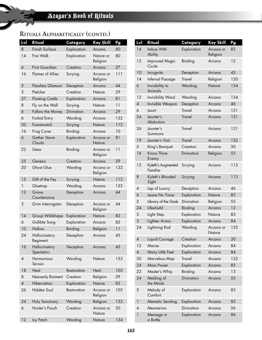| Lvl                      | Ritual                      | Category    | Key Skill             | Pg  |
|--------------------------|-----------------------------|-------------|-----------------------|-----|
| 8                        | Finish Surface              | Exploration | Arcana                | 80  |
| 14                       | Fire Walk                   | Exploration | Nature or<br>Religion | 80  |
| 6                        | <b>First Guardian</b>       | Creation    | Arcana                | 27  |
| 16                       | <b>Flames of Allies</b>     | Scrying     | Arcana or<br>Religion | 111 |
| 5                        | <b>Flawless Glamour</b>     | Deception   | Arcana                | 44  |
| 3                        | Fletcher                    | Creation    | Nature                | 29  |
| 27                       | <b>Floating Castle</b>      | Exploration | Arcana                | 81  |
| 8                        | Fly on the Wall             | Scrying     | Nature                | 11  |
| 6                        | Follow the Money            | Divination  | Arcana                | 29  |
| 6                        | Forbid Entry                | Warding     | Arcana                | 132 |
| 20                       | Forestwatch                 | Scrying     | Nature                | 112 |
| 16                       | Frog Curse                  | Binding     | Arcana                | 10  |
| 6                        | Gather Storm<br>Clouds      | Exploration | Arcana or<br>Nature   | 81  |
| 22                       | Geas                        | Binding     | Arcana or<br>Religion | 11  |
| 25                       | Genesis                     | Creation    | Arcana                | 29  |
| 20                       | <b>Ghost Glue</b>           | Warding     | Arcana or<br>Religion | 132 |
| 15                       | Gift of the Fey             | Scrying     | Nature                | 112 |
| 1                        | Gluetrap                    | Warding     | Arcana                | 133 |
| 12                       | Grave<br>Countenance        | Deception   | Arcana                | 44  |
| 3                        | Grim Interrogator           | Deception   | Arcana or<br>Religion | 44  |
| 14                       | Group Wildshape             | Exploration | Nature                | 82  |
| 6                        | Gullible Song               | Exploration | Arcana                | 82  |
| 10                       | Hallow                      | Binding     | Religion              | 11  |
| 24                       | Hallucinatory<br>Regiment   | Deception   | Arcana                | 45  |
| 16                       | Hallucinatory<br>Spectators | Deception   | Arcana                | 45  |
| $\pmb{4}$                | Harmonious<br>Terrain       | Warding     | Nature                | 133 |
| 18                       | Heal                        | Restoration | Heal                  | 105 |
| 8                        | <b>Heavenly Raiment</b>     | Creation    | Religion              | 29  |
| $\overline{\mathcal{A}}$ | Hibernation                 | Exploration | Nature                | 82  |
| 26                       | Hidden Soul                 | Restoration | Arcana or<br>Religion | 105 |
| 24                       | Holy Sanctuary              | Warding     | Religion              | 133 |
| 6                        | Hunter's Pouch              | Creation    | Arcana or<br>Nature   | 30  |
| 12                       | Icy Patch                   | Warding     | Nature                | 134 |

| Lvl            | Ritual                          | Category          | <b>Key Skill</b>      | Pg  |
|----------------|---------------------------------|-------------------|-----------------------|-----|
| 14             | Imbue With<br>Ability           | Exploration       | Arcana or<br>Religion | 82  |
| 12             | <b>Improved Magic</b><br>Circle | Binding           | Arcana                | 12  |
| 10             | Incognito                       | Deception         | Arcana                | 45  |
| 14             | Infernal Passage                | Travel            | Religion              | 120 |
| 6              | Invisibility to<br>Animals      | Warding           | Nature                | 134 |
| 12             | <b>Invisibility Ward</b>        | Warding           | Arcana                | 134 |
| $\overline{A}$ | Invisible Weapon                | Deception         | Arcana                | 46  |
| 6              | Jaunt                           | Travel            | Arcana                | 121 |
| 24             | Jaunter's<br>Abduction          | <b>Travel</b>     | Arcana                | 121 |
| 26             | Jaunter's<br>Summons            | <b>Travel</b>     | Arcana                | 121 |
| 19             | Jaunter's Visit                 | <b>Travel</b>     | Arcana                | 122 |
| 5              | King's Banquet                  | Creation          | Arcana                | 30  |
| 16             | Know Thine<br>Enemy             | <b>Divination</b> | Religion              | 55  |
| 12             | Kyleth's Augmented<br>Familiar  | Scrying           | Arcana                | 113 |
| 8              | Kyleth's Blooded<br>Sight       | Scrying           | Arcana                | 113 |
| 4              | Lap of Luxury                   | Deception         | Arcana                | 46  |
| 6              | Leave No Trace                  | Exploration       | Nature                | 83  |
| 2              | Library of the Gods             | <b>Divination</b> | Religion              | 55  |
| 24             | Lifeshield                      | Binding           | Arcana                | 12  |
| 3              | Light Step                      | Exploration       | Nature                | 83  |
| 3              | Lighten Armor                   | Exploration       | Arcana                | 84  |
| 24             | Lightning Rod                   | Warding           | Arcana or<br>Nature   | 135 |
| 4              | Liquid Courage                  | Creation          | Arcana                | 30  |
| 12             | Manse                           | Exploration       | Arcana                | 84  |
| 4              | Many Little Feet                | Exploration       | Arcana                | 84  |
| 30             | Marvelous Map                   | Travel            | Arcana                | 122 |
| 24             | <b>Mass Power</b>               | Exploration       | Arcana                | 85  |
| 22             | Master's Whip                   | Binding           | Arcana                | 13  |
| 24             | Melding of<br>the Minds         | Divination        | Arcana                | 55  |
| 5              | Melody of<br>Comfort            | Exploration       | Arcana                | 85  |
| 1              | Memetic Sending                 | Exploration       | Arcana                | 85  |
| 4              | Mesmerism                       | Divination        | Arcana                | 56  |
| 1              | Message in<br>a Bottle          | Exploration       | Arcana                | 86  |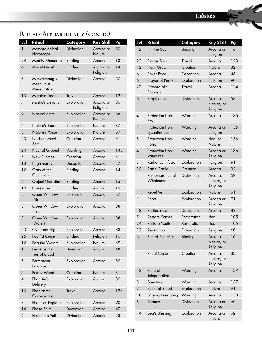| Lvl            | Ritual                                    | Category          | Key Skill             | Pg  |
|----------------|-------------------------------------------|-------------------|-----------------------|-----|
| 1              | Meteorological<br>Horoscope               | Divination        | Arcana or<br>Nature   | 57  |
| 24             | <b>Modify Memories</b>                    | Binding           | Arcana                | 13  |
| 6              | Moonlit Mark                              | Binding           | Arcana or<br>Religion | 14  |
| 3              | Munzelmong's<br>Meticulous<br>Mensuration | <b>Divination</b> | Arcana                | 57  |
| 10             | Mutable Door                              | <b>Travel</b>     | Arcana                | 122 |
| 7              | Mystic's Devotion                         | Exploration       | Arcana or<br>Religion | 86  |
| 9              | Natural State                             | Exploration       | Arcana or<br>Nature   | 86  |
| 4              | Nature's Road                             | Exploration       | Nature                | 87  |
| 3              | Nature's Voice                            | Exploration       | Nature                | 87  |
| 20             | Nesba's Mock<br>Self                      | Creation          | Arcana                | 31  |
| 24             | Neutral Ground                            | Warding           | Arcana                | 135 |
| 3              | New Clothes                               | Creation          | Arcana                | 31  |
| 18             | Nightmares                                | Deception         | Arcana                | 47  |
| 12             | Oath of the<br>Guardian                   | Binding           | Arcana                | 14  |
| 9              | <b>Object Guardian</b>                    | Binding           | Arcana                | 15  |
| 12             | Obsession                                 | Binding           | Arcana                | 15  |
| 8              | Open Window<br>(Air)                      | Exploration       | Arcana                | 87  |
| 8              | Open Window<br>(Fire)                     | Exploration       | Arcana                | 88  |
| 8              | Open Window<br>(Water)                    | Exploration       | Arcana                | 88  |
| 20             | Overland Flight                           | Exploration       | Arcana                | 88  |
| 26             | <b>Pacifist Curse</b>                     | Binding           | Religion              | 16  |
| 12             | Part the Waters                           | Exploration       | Nature                | 89  |
| 1              | Perceive the<br>Ties of Blood             | <b>Divination</b> | Arcana                | 58  |
| 3              | Permanent<br>Passage                      | Exploration       | Arcana                | 89  |
| 5              | Petrify Wood                              | Creation          | Nature                | 31  |
| $\overline{A}$ | Phan Xu's<br>Delivery                     | Exploration       | Arcana                | 89  |
| 13             | Phantasmal<br>Conveyance                  | <b>Travel</b>     | Arcana                | 123 |
| 8              | Phantom Explorer                          | Exploration       | Arcana                | 90  |
| 14             | <b>Phase Shift</b>                        | Deception         | Arcana                | 47  |
| 6              | Pierce the Veil                           | Divination        | Arcana                | 58  |

| Lvl            | Ritual                          | Category          | Key Skill                         | Pg  |
|----------------|---------------------------------|-------------------|-----------------------------------|-----|
| 12             | Pin the Soul                    | Binding           | Arcana or<br>Religion             | 16  |
| 22             | Planar Trap                     | <b>Travel</b>     | Arcana                            | 123 |
| 12             | Plant Growth                    | Creation          | Nature                            | 32  |
| 6              | Poker Face                      | Deception         | Arcana                            | 48  |
| 6              | Prayer of Purity                | Exploration       | Religion                          | 90  |
| 22             | Primordial's<br>Passage         | <b>Travel</b>     | Arcana                            | 124 |
| 6              | Propitiation                    | Divination        | Arcana,<br>Nature, or<br>Religion | 58  |
| $\overline{A}$ | Protection from<br>Fey          | Warding           | Arcana                            | 136 |
| 4              | Protection from<br>Lycanthropes | Warding           | Arcana or<br>Religion             | 136 |
| 8              | Protection from<br>Poison       | Warding           | Heal or<br>Nature                 | 136 |
| $\overline{4}$ | Protection from<br>Vampires     | Warding           | Arcana or<br>Religion             | 136 |
| 3              | Radiance Infusion               | Exploration       | Religion                          | 91  |
| 30             | <b>Raise Castle</b>             | Creation          | Arcana                            | 32  |
| 1              | Remembrance of<br>Wholeness     | Divination        | Arcana,<br>Nature, or<br>Religion | 59  |
| 1              | Repel Vermin                    | Exploration       | Nature                            | 91  |
| 1              | Reset                           | Exploration       | Arcana or<br>Religion             | 91  |
| 18             | Restlessness                    | Deception         | Arcana                            | 48  |
| 5              | <b>Restore Senses</b>           | Restoration       | Heal                              | 105 |
| 24             | Restore Youth                   | Restoration       | Heal                              | 105 |
| 12             | Revelation                      | <b>Divination</b> | Religion                          | 60  |
| 6              | Rite of Exorcism                | <b>Binding</b>    | Arcana,<br>Nature, or<br>Religion | 16  |
| 1              | <b>Ritual Circle</b>            | Creation          | Arcana,<br>Nature, or<br>Religion | 33  |
| 12             | Rune of<br>Teleportation        | Warding           | Arcana                            | 137 |
| 8              | Sanctum                         | Warding           | Arcana                            | 137 |
| $\overline{2}$ | Scent of Blood                  | Exploration       | Nature                            | 91  |
| 18             | Scrying Free Song               | Warding           | Arcana                            | 138 |
| 8              | Séance                          | Divination        | Arcana or<br>Religion             | 60  |
| 14             | Sea's Blessing                  | Exploration       | Arcana or<br>Nature               | 92  |
|                |                                 |                   |                                   |     |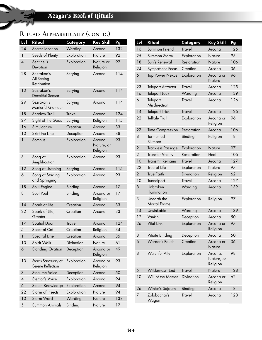| Lvl            | <b>Ritual</b>                             | Category    | <b>Key Skill</b>                  | Pg  |
|----------------|-------------------------------------------|-------------|-----------------------------------|-----|
| 24             | Secret Location                           | Warding     | Arcana                            | 132 |
| $\mathbf{1}$   | Seeds of Plenty                           | Exploration | Nature                            | 92  |
| $\overline{4}$ | Sentinel's<br>Devotion                    | Exploration | Nature or<br>Religion             | 92  |
| 28             | Sezrakan's<br>All-Seeing<br>Retribution   | Scrying     | Arcana                            | 114 |
| 13             | Sezrakan's<br>Deceitful Sensor            | Scrying     | Arcana                            | 114 |
| 29             | Sezrakan's<br><b>Masterful Glamour</b>    | Scrying     | Arcana                            | 114 |
| 18             | <b>Shadow Trail</b>                       | Travel      | Arcana                            | 124 |
| 27             | Sight of the Gods                         | Scrying     | Religion                          | 115 |
| 16             | Simulacrum                                | Creation    | Arcana                            | 33  |
| 10             | Skirt the Line                            | Deception   | Arcana                            | 48  |
| 1              | Somnus                                    | Exploration | Arcana.<br>Nature, or<br>Religion | 93  |
| 8              | Song of<br>Amplification                  | Exploration | Arcana                            | 93  |
| 12             | Song of Listening                         | Scrying     | Arcana                            | 115 |
| 6              | Song of Striding<br>and Springing         | Exploration | Arcana                            | 93  |
| 18             | Soul Engine                               | Binding     | Arcana                            | 17  |
| 8              | Soul Pool                                 | Binding     | Arcana or<br>Religion             | 17  |
| 14             | Spark of Life                             | Creation    | Arcana                            | 33  |
| 22             | Spark of Life,<br>Greater                 | Creation    | Arcana                            | 33  |
| 17             | <b>Spatial Door</b>                       | Travel      | Arcana                            | 124 |
| 5              | Spectral Cat                              | Creation    | Religion                          | 34  |
| 1              | Spectral Line                             | Creation    | Arcana                            | 35  |
| 10             | Spirit Walk                               | Divination  | Nature                            | 61  |
| 6              | <b>Standing Ovation</b>                   | Deception   | Arcana or<br>Religion             | 49  |
| 10             | Starr's Sanctuary of<br>Serene Reflection | Exploration | Arcana or<br>Religion             | 93  |
| 3              | Steal the Voice                           | Deception   | Arcana                            | 50  |
| 4              | Stentor's Voice                           | Exploration | Arcana                            | 94  |
| 6              | Stolen Knowledge                          | Exploration | Arcana                            | 94  |
| 22             | Storm of Insects                          | Exploration | Nature                            | 94  |
| 10             | Storm Ward                                | Warding     | Nature                            | 138 |
| 5              | Summon Animals                            | Binding     | Nature                            | 17  |

| <u>Lvl</u>     | Ritual                      | Category      | <b>Key Skill</b>                  | Pg  |
|----------------|-----------------------------|---------------|-----------------------------------|-----|
| 16             | Summon Friend               | <b>Travel</b> | Arcana                            | 125 |
| 25             | Summon Storm                | Exploration   | Nature                            | 95  |
| 18             | Sun's Renewal               | Restoration   | Nature                            | 106 |
| 24             | Sympathetic Focus           | Creation      | Arcana                            | 36  |
| 6              | <b>Tap Power Nexus</b>      | Exploration   | Arcana or<br>Nature               | 96  |
| 23             | <b>Teleport Attractor</b>   | <b>Travel</b> | Arcana                            | 125 |
| 16             | Teleport Lock               | Warding       | Arcana                            | 139 |
| 6              | Teleport<br>Misdirection    | <b>Travel</b> | Arcana                            | 126 |
| 14             | <b>Teleport Trick</b>       | <b>Travel</b> | Arcana                            | 126 |
| 22             | <b>Telltale Trail</b>       | Exploration   | Arcana or<br>Religion             | 96  |
| 27             | <b>Time Compression</b>     | Restoration   | Arcana                            | 106 |
| 8              | Tormented<br>Slumber        | Binding       | Religion                          | 18  |
| $\overline{2}$ | <b>Trackless Passage</b>    | Exploration   | Nature                            | 97  |
| $\overline{2}$ | <b>Transfer Vitality</b>    | Restoration   | Heal                              | 106 |
| 10             | <b>Transmit Remains</b>     | <b>Travel</b> | Arcana                            | 127 |
| 22             | Tree of Life                | Exploration   | Nature                            | 97  |
| $\overline{2}$ | <b>True Faith</b>           | Divination    | Religion                          | 62  |
| 10             | Tunnelport                  | <b>Travel</b> | Arcana                            | 127 |
| 8              | Unbroken<br>Illumination    | Warding       | Arcana                            | 139 |
| 3              | Unearth the<br>Mortal Frame | Exploration   | Religion                          | 97  |
| 14             | Unsinkable                  | Warding       | Arcana                            | 139 |
| 12             | Vanish                      | Deception     | Arcana                            | 50  |
| 26             | <b>Vital Link</b>           | Exploration   | Arcana or<br>Religion             | 97  |
| 8              | Vitiate Binding             | Deception     | Arcana                            | 50  |
| 6              | Warder's Pouch              | Creation      | Arcana or<br>Nature               | 36  |
| 8              | Watchful Ally               | Exploration   | Arcana,<br>Nature, or<br>Religion | 98  |
| 5              | Wilderness' End             | <b>Travel</b> | Nature                            | 128 |
| 10             | Will of the Masses          | Divination    | Arcana or<br>Religion             | 62  |
| 26             | Winter's Sojourn            | Binding       | Arcana                            | 18  |
| 7              | Zolobachai's<br>Wagon       | <b>Travel</b> | Arcana                            | 128 |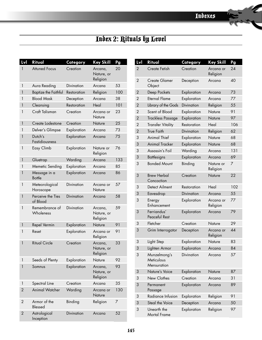h L

# Index 2: Rituals by Level

| Lvl            | Ritual                         | Category          | <b>Key Skill</b>                  | Pg  |
|----------------|--------------------------------|-------------------|-----------------------------------|-----|
| 1              | <b>Attuned Focus</b>           | Creation          | Arcana,<br>Nature, or<br>Religion | 20  |
| 1              | Aura Reading                   | Divination        | Arcana                            | 53  |
| 1              | <b>Baptize the Faithful</b>    | Restoration       | Religion                          | 100 |
| 1              | <b>Blood Mask</b>              | Deception         | Arcana                            | 38  |
| 1              | Cleansing                      | Restoration       | Heal                              | 101 |
| 1              | Craft Talisman                 | Creation          | Arcana or<br>Nature               | 23  |
| 1              | Create Lodestone               | Creation          | Nature                            | 25  |
| 1              | Delver's Glimpse               | Exploration       | Arcana                            | 73  |
| 1              | Dutch's<br>Fastidiousness      | Exploration       | Arcana                            | 75  |
| 1              | Easy Climb                     | Exploration       | Nature or<br>Religion             | 76  |
| $\mathbf{1}$   | Gluetrap                       | Warding           | Arcana                            | 133 |
| 1              | Memetic Sending                | Exploration       | Arcana                            | 85  |
| 1              | Message in a<br><b>Bottle</b>  | Exploration       | Arcana                            | 86  |
| 1              | Meteorological<br>Horoscope    | Divination        | Arcana or<br>Nature               | 57  |
| 1              | Perceive the Ties<br>of Blood  | Divination        | Arcana                            | 58  |
| 1              | Remembrance of<br>Wholeness    | Divination        | Arcana,<br>Nature, or<br>Religion | 59  |
| 1              | Repel Vermin                   | Exploration       | Nature                            | 91  |
| 1              | Reset                          | Exploration       | Arcana or<br>Religion             | 91  |
| 1              | <b>Ritual Circle</b>           | Creation          | Arcana,<br>Nature, or<br>Religion | 33  |
| 1              | Seeds of Plenty                | Exploration       | Nature                            | 92  |
| 1              | Somnus                         | Exploration       | Arcana,<br>Nature, or<br>Religion | 93  |
| 1              | Spectral Line                  | Creation          | Arcana                            | 35  |
| $\overline{2}$ | <b>Animal Watcher</b>          | Warding           | Arcana or<br>Nature               | 130 |
| 2              | Armor of the<br><b>Blessed</b> | Binding           | Religion                          | 7   |
| $\overline{2}$ | Astrological<br>Inception      | <b>Divination</b> | Arcana                            | 52  |

| <u>Lvl</u>     | Ritual                                    | Category          | <b>Key Skill</b>      | Pg  |
|----------------|-------------------------------------------|-------------------|-----------------------|-----|
| $\overline{2}$ | Create Fetish                             | Creation          | Arcana or<br>Religion | 24  |
| $\overline{2}$ | <b>Create Glamer</b><br>Object            | Deception         | Arcana                | 40  |
| $\overline{2}$ | Deep Pockets                              | Exploration       | Arcana                | 73  |
| $\overline{2}$ | <b>Eternal Flame</b>                      | Exploration       | Arcana                | 77  |
| $\overline{2}$ | Library of the Gods                       | <b>Divination</b> | Religion              | 55  |
| $\overline{2}$ | Scent of Blood                            | Exploration       | Nature                | 91  |
| $\overline{2}$ | <b>Trackless Passage</b>                  | Exploration       | Nature                | 97  |
| $\overline{2}$ | <b>Transfer Vitality</b>                  | Restoration       | Heal                  | 106 |
| $\overline{2}$ | <b>True Faith</b>                         | Divination        | Religion              | 62  |
| 3              | <b>Animal Thief</b>                       | Exploration       | Nature                | 68  |
| 3              | <b>Animal Tracker</b>                     | Exploration       | Nature                | 68  |
| 3              | Assassin's Foil                           | Warding           | Arcana                | 131 |
| 3              | <b>Battlesigns</b>                        | Exploration       | Arcana                | 69  |
| 3              | <b>Bonded Mount</b>                       | Binding           | Nature or<br>Religion | 7   |
| 3              | <b>Brew Herbal</b><br>Concoction          | Creation          | Nature                | 22  |
| 3              | Detect Ailment                            | Restoration       | Heal                  | 102 |
| 3              | Eavesdrop                                 | Divination        | Arcana                | 55  |
| 3              | Energy<br>Enhancement                     | Exploration       | Arcana or<br>Religion | 77  |
| 3              | Ferriandus'<br>Peaceful Rest              | Exploration       | Arcana                | 79  |
| 3              | Fletcher                                  | Creation          | Nature                | 29  |
| 3              | Grim Interrogator                         | Deception         | Arcana or<br>Religion | 44  |
| 3              | Light Step                                | Exploration       | Nature                | 83  |
| 3              | Lighten Armor                             | Exploration       | Arcana                | 84  |
| 3              | Munzelmong's<br>Meticulous<br>Mensuration | Divination        | Arcana                | 57  |
| 3              | Nature's Voice                            | Exploration       | Nature                | 87  |
| 3              | New Clothes                               | Creation          | Arcana                | 31  |
| 3              | Permanent<br>Passage                      | Exploration       | Arcana                | 89  |
| 3              | Radiance Infusion                         | Exploration       | Religion              | 91  |
| 3              | Steal the Voice                           | Deception         | Arcana                | 50  |
| 3              | Unearth the<br>Mortal Frame               | Exploration       | Religion              | 97  |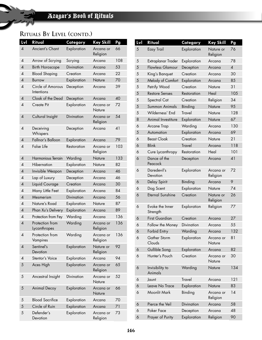| <u>Lvl</u>               | Ritual                          | Category          | Key Skill             | Pg  |
|--------------------------|---------------------------------|-------------------|-----------------------|-----|
| $\overline{\mathcal{A}}$ | Ancient's Chant                 | Exploration       | Arcana or<br>Religion | 66  |
| $\overline{4}$           | Arrow of Scrying                | Scrying           | Arcana                | 108 |
| 4                        | <b>Birth Horoscope</b>          | <b>Divination</b> | Arcana                | 53  |
| $\overline{A}$           | <b>Blood Shaping</b>            | Creation          | Arcana                | 22  |
| 4                        | <b>Burrow</b>                   | Exploration       | Nature                | 70  |
| $\overline{A}$           | Circle of Amorous<br>Intentions | Deception         | Arcana                | 39  |
| $\overline{A}$           | Cloak of the Dead               | Deception         | Arcana                | 40  |
| $\overline{A}$           | Create Pit                      | Exploration       | Arcana or<br>Nature   | 72  |
| $\overline{A}$           | Cultural Insight                | Divination        | Arcana or<br>Religion | 54  |
| $\overline{A}$           | Deceiving<br>Whispers           | Deception         | Arcana                | 41  |
| $\overline{4}$           | Fallnor's Balloon               | Exploration       | Arcana                | 79  |
| $\overline{A}$           | <b>False Life</b>               | Restoration       | Arcana or<br>Religion | 103 |
| 4                        | Harmonious Terrain              | Warding           | Nature                | 133 |
| $\overline{\mathcal{A}}$ | Hibernation                     | Exploration       | Nature                | 82  |
| $\overline{A}$           | Invisible Weapon                | Deception         | Arcana                | 46  |
| $\overline{\mathcal{A}}$ | Lap of Luxury                   | Deception         | Arcana                | 46  |
| $\overline{A}$           | Liquid Courage                  | Creation          | Arcana                | 30  |
| $\overline{\mathcal{A}}$ | Many Little Feet                | Exploration       | Arcana                | 84  |
| $\overline{A}$           | Mesmerism                       | Divination        | Arcana                | 56  |
| $\overline{A}$           | Nature's Road                   | Exploration       | Nature                | 87  |
| 4                        | Phan Xu's Delivery              | Exploration       | Arcana                | 89  |
| $\overline{A}$           | Protection from Fey             | Warding           | Arcana                | 136 |
| 4                        | Protection from<br>Lycanthropes | Warding           | Arcana or<br>Religion | 136 |
| $\overline{\mathcal{A}}$ | Protection from<br>Vampires     | Warding           | Arcana or<br>Religion | 136 |
| 4                        | Sentinel's<br>Devotion          | Exploration       | Nature or<br>Religion | 92  |
| $\overline{4}$           | Stentor's Voice                 | Exploration       | Arcana                | 94  |
| 5                        | Aces High                       | Exploration       | Arcana or<br>Religion | 65  |
| 5                        | Ancestral Insight               | Divination        | Arcana or<br>Nature   | 52  |
| 5                        | <b>Animal Decoy</b>             | Exploration       | Arcana or<br>Nature   | 66  |
| 5                        | <b>Blood Sacrifice</b>          | Exploration       | Arcana                | 70  |
| 5                        | Circle of Ruin                  | Exploration       | Arcana                | 71  |
| 5                        | Defender's<br>Devotion          | Exploration       | Arcana or<br>Religion | 73  |

| Lvl | Ritual                      | Category      | <b>Key Skill</b>      | Pg                       |
|-----|-----------------------------|---------------|-----------------------|--------------------------|
| 5   | Easy Trail                  | Exploration   | Nature or<br>Religion | 76                       |
| 5   | Extraplanar Trader          | Exploration   | Arcana                | 78                       |
| 5   | <b>Flawless Glamour</b>     | Deception     | Arcana                | $\overline{\mathcal{A}}$ |
| 5   | King's Banquet              | Creation      | Arcana                | 30                       |
| 5   | Melody of Comfort           | Exploration   | Arcana                | 85                       |
| 5   | Petrify Wood                | Creation      | Nature                | 31                       |
| 5   | <b>Restore Senses</b>       | Restoration   | Heal                  | 105                      |
| 5   | Spectral Cat                | Creation      | Religion              | 34                       |
| 5   | Summon Animals              | Binding       | Nature                | 95                       |
| 5   | Wilderness' End             | <b>Travel</b> | Nature                | 128                      |
| 8   | Animal Investiture          | Exploration   | Nature                | 67                       |
| 6   | Arcane Trap                 | Warding       | Arcana                | 130                      |
| 5   | Automation                  | Exploration   | Arcana                | 69                       |
| 6   | <b>Beast Cloak</b>          | Creation      | Nature                | 21                       |
| 6   | <b>Blink</b>                | <b>Travel</b> | Arcana                | 118                      |
| 6   | Cure Lycanthropy            | Restoration   | Heal                  | 101                      |
| 6   | Dance of the<br>Peacock     | Deception     | Arcana                | 41                       |
| 6   | Daredevil's<br>Devotion     | Exploration   | Arcana or<br>Religion | 72                       |
| 6   | Delay Spirit                | Binding       | Arcana                | 9                        |
| 6   | Dog Scent                   | Exploration   | Nature                | 74                       |
| 6   | <b>Eternal Sunshine</b>     | Creation      | Nature or<br>Religion | 26                       |
| 6   | Evoke the Inner<br>Strength | Exploration   | Religion              | 77                       |
| 6   | <b>First Guardian</b>       | Creation      | Arcana                | 27                       |
| 6   | Follow the Money            | Divination    | Arcana                | 55                       |
| 6   | <b>Forbid Entry</b>         | Warding       | Arcana                | 132                      |
| 6   | Gather Storm<br>Clouds      | Exploration   | Arcana or<br>Nature   | 81                       |
| 6   | Gullible Song               | Exploration   | Arcana                | 82                       |
| 6   | Hunter's Pouch              | Creation      | Arcana or<br>Nature   | 30                       |
| 6   | Invisibility to<br>Animals  | Warding       | Nature                | 134                      |
| 6   | Jaunt                       | <b>Travel</b> | Arcana                | 121                      |
| 6   | Leave No Trace              | Exploration   | Nature                | 83                       |
| 6   | Moonlit Mark                | Binding       | Arcana or<br>Religion | 14                       |
| 6   | Pierce the Veil             | Divination    | Arcana                | 58                       |
| 6   | Poker Face                  | Deception     | Arcana                | 48                       |
| 6   | Prayer of Purity            | Exploration   | Religion              | 90                       |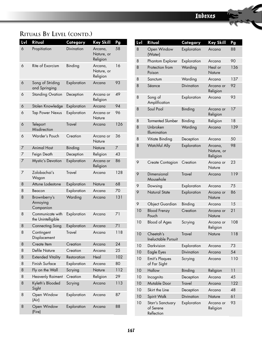| Lvl | Ritual                                 | Category      | <b>Key Skill</b>                  | Pg  |
|-----|----------------------------------------|---------------|-----------------------------------|-----|
| 6   | Propitiation                           | Divination    | Arcana,<br>Nature, or<br>Religion | 58  |
| 6   | Rite of Exorcism                       | Binding       | Arcana,<br>Nature, or<br>Religion | 16  |
| 6   | Song of Striding<br>and Springing      | Exploration   | Arcana                            | 93  |
| 6   | <b>Standing Ovation</b>                | Deception     | Arcana or<br>Religion             | 49  |
| 6   | Stolen Knowledge                       | Exploration   | Arcana                            | 94  |
| 6   | <b>Tap Power Nexus</b>                 | Exploration   | Arcana or<br>Nature               | 96  |
| 6   | Teleport<br>Misdirection               | <b>Travel</b> | Arcana                            | 126 |
| 6   | Warder's Pouch                         | Creation      | Arcana or<br>Nature               | 36  |
| 7   | <b>Animal Host</b>                     | Binding       | Nature                            | 7   |
| 7   | Feign Death                            | Deception     | Religion                          | 43  |
| 7   | <b>Mystic's Devotion</b>               | Exploration   | Arcana or<br>Religion             | 86  |
| 7   | Zolobachai's<br>Wagon                  | <b>Travel</b> | Arcana                            | 128 |
| 8   | Attune Lodestone                       | Exploration   | Nature                            | 68  |
| 8   | Beacon                                 | Exploration   | Arcana                            | 70  |
| 8   | Brownberry's<br>Annoying<br>Companion  | Warding       | Arcana                            | 131 |
| 8   | Communicate with<br>the Unintelligible | Exploration   | Arcana                            | 71  |
| 8   | Connecting Song                        | Exploration   | Arcana                            | 71  |
| 8   | Contingent<br>Displacement             | <b>Travel</b> | Arcana                            | 118 |
| 8   | Create Item                            | Creation      | Arcana                            | 24  |
| 8   | <b>Defile Nature</b>                   | Creation      | Arcana                            | 25  |
| 8   | <b>Extended Vitality</b>               | Restoration   | Heal                              | 102 |
| 8   | Finish Surface                         | Exploration   | Arcana                            | 80  |
| 8   | Fly on the Wall                        | Scrying       | Nature                            | 112 |
| 8   | Heavenly Raiment                       | Creation      | Religion                          | 29  |
| 8   | Kyleth's Blooded<br>Sight              | Scrying       | Arcana                            | 113 |
| 8   | Open Window<br>(Air)                   | Exploration   | Arcana                            | 87  |
| 8   | Open Window<br>(Fire)                  | Exploration   | Arcana                            | 88  |

| <u>Lvl</u> | Ritual                                       | Category          | <b>Key Skill</b>                  | Pg  |
|------------|----------------------------------------------|-------------------|-----------------------------------|-----|
| 8          | Open Window<br>(Water)                       | Exploration       | Arcana                            | 88  |
| 8          | Phantom Explorer                             | Exploration       | Arcana                            | 90  |
| 8          | Protection from<br>Poison                    | Warding           | Heal or<br>Nature                 | 136 |
| 8          | Sanctum                                      | Warding           | Arcana                            | 137 |
| 8          | Séance                                       | <b>Divination</b> | Arcana or<br>Religion             | 92  |
| 8          | Song of<br>Amplification                     | Exploration       | Arcana                            | 93  |
| 8          | Soul Pool                                    | <b>Binding</b>    | Arcana or<br>Religion             | 17  |
| 8          | <b>Tormented Slumber</b>                     | Binding           | Religion                          | 18  |
| 8          | Unbroken<br>Illumination                     | Warding           | Arcana                            | 139 |
| 8          | Vitiate Binding                              | Deception         | Arcana                            | 50  |
| 8          | <b>Watchful Ally</b>                         | Exploration       | Arcana,<br>Nature, or<br>Religion | 98  |
| 9          | Create Contagion                             | Creation          | Arcana or<br>Nature               | 23  |
| 9          | Dimensional<br>Mousehole                     | <b>Travel</b>     | Arcana                            | 119 |
| 9          | Dowsing                                      | Exploration       | Arcana                            | 75  |
| 9          | Natural State                                | Exploration       | Arcana or<br>Nature               | 86  |
| 9          | <b>Object Guardian</b>                       | Binding           | Arcana                            | 15  |
| 10         | <b>Blood Frenzy</b><br>Pouch                 | Creation          | Arcana or<br>Nature               | 21  |
| 10         | <b>Blood of Ages</b>                         | Scrying           | Arcana or<br>Religion             | 108 |
| 10         | Cheetah's<br>Ineluctable Pursuit             | Travel            | Nature                            | 118 |
| 10         | Darkvision                                   | Exploration       | Arcana                            | 73  |
| 10         | <b>Eagle Eyes</b>                            | Divination        | Arcana                            | 54  |
| 10         | <b>Emit's Plaques</b><br>of Far Sight        | Scrying           | Arcana                            | 110 |
| 10         | Hallow                                       | Binding           | Religion                          | 11  |
| 10         | Incognito                                    | Deception         | Arcana                            | 45  |
| 10         | Mutable Door                                 | <b>Travel</b>     | Arcana                            | 122 |
| 10         | Skirt the Line                               | Deception         | Arcana                            | 48  |
| 10         | Spirit Walk                                  | <b>Divination</b> | Nature                            | 61  |
| 10         | Starr's Sanctuary<br>of Serene<br>Reflection | Exploration       | Arcana or<br>Religion             | 93  |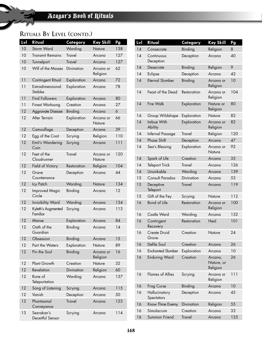| Lvl | Ritual                             | Category          | <b>Key Skill</b>      | Pg  |
|-----|------------------------------------|-------------------|-----------------------|-----|
| 10  | <b>Storm Ward</b>                  | Warding           | Nature                | 138 |
| 10  | Transmit Remains                   | <b>Travel</b>     | Arcana                | 127 |
| 10  | Tunnelport                         | <b>Travel</b>     | Arcana                | 127 |
| 10  | Will of the Masses                 | Divination        | Arcana or<br>Religion | 62  |
| 11  | Contingent Ritual                  | Exploration       | Arcana                | 72  |
| 11  | Extradimensional<br><b>Stables</b> | Exploration       | Arcana                | 78  |
| 11  | <b>Find Followers</b>              | Exploration       | Arcana                | 80  |
| 11  | <b>Finest Worksong</b>             | Creation          | Arcana                | 27  |
| 12  | Aggravate Disease                  | Binding           | Arcana                | 6   |
| 12  | Alter Terrain                      | Exploration       | Arcana or<br>Nature   | 66  |
| 12  | Camouflage                         | Deception         | Arcana                | 39  |
| 12  | Egg of the Coot                    | Scrying           | Religion              | 110 |
| 12  | Emit's Wandering<br>Coin           | Scrying           | Arcana                | 111 |
| 12  | Feet of the<br>Cloudrunner         | <b>Travel</b>     | Arcana or<br>Nature   | 120 |
| 12  | Field of Victory                   | Restoration       | Religion              | 104 |
| 12  | Grave<br>Countenance               | Deception         | Arcana                | 44  |
| 12  | Icy Patch                          | Warding           | Nature                | 134 |
| 12  | <b>Improved Magic</b><br>Circle    | Binding           | Arcana                | 12  |
| 12  | <b>Invisibility Ward</b>           | Warding           | Arcana                | 134 |
| 12  | Kyleth's Augmented<br>Familiar     | Scrying           | Arcana                | 113 |
| 12  | Manse                              | Exploration       | Arcana                | 84  |
| 12  | Oath of the<br>Guardian            | Binding           | Arcana                | 14  |
| 12  | Obsession                          | Binding           | Arcana                | 15  |
| 12  | Part the Waters                    | Exploration       | Nature                | 89  |
| 12  | Pin the Soul                       | Binding           | Arcana or<br>Religion | 16  |
| 12  | Plant Growth                       | Creation          | Nature                | 32  |
| 12  | Revelation                         | <b>Divination</b> | Religion              | 60  |
| 12  | Rune of<br>Teleportation           | Warding           | Arcana                | 137 |
| 12  | Song of Listening                  | Scrying           | Arcana                | 115 |
| 12  | Vanish                             | Deception         | Arcana                | 50  |
| 13  | Phantasmal<br>Conveyance           | <b>Travel</b>     | Arcana                | 123 |
| 13  | Sezrakan's<br>Deceitful Sensor     | Scrying           | Arcana                | 114 |

| Lvl | Ritual                       | Category      | <b>Key Skill</b>                  | Pg  |
|-----|------------------------------|---------------|-----------------------------------|-----|
| 14  | Consecrate                   | Binding       | Religion                          | 8   |
| 14  | Continuous<br>Deception      | Deception     | Arcana                            | 40  |
| 14  | Desecrate                    | Binding       | Religion                          | 9   |
| 14  | Eclipse                      | Deception     | Arcana                            | 42  |
| 14  | <b>Eternal Slumber</b>       | Binding       | Arcana or<br>Religion             | 10  |
| 14  | Feast of the Dead            | Restoration   | Arcana or<br>Religion             | 104 |
| 14  | <b>Fire Walk</b>             | Exploration   | Nature or<br>Religion             | 80  |
| 14  | Group Wildshape              | Exploration   | Nature                            | 82  |
| 14  | Imbue With<br><b>Ability</b> | Exploration   | Arcana or<br>Religion             | 82  |
| 14  | Infernal Passage             | <b>Travel</b> | Religion                          | 120 |
| 14  | <b>Phase Shift</b>           | Deception     | Arcana                            | 47  |
| 14  | Sea's Blessing               | Exploration   | Arcana or<br>Nature               | 92  |
| 14  | Spark of Life                | Creation      | Arcana                            | 33  |
| 14  | <b>Teleport Trick</b>        | <b>Travel</b> | Arcana                            | 126 |
| 14  | Unsinkable                   | Warding       | Arcana                            | 139 |
| 15  | Consult Paradox              | Divination    | Arcana                            | 53  |
| 15  | Deceptive<br>Teleport        | <b>Travel</b> | Arcana                            | 119 |
| 15  | Gift of the Fey              | Scrying       | Nature                            | 112 |
| 16  | <b>Bond of Life</b>          | Restoration   | Arcana or<br>Religion             | 100 |
| 16  | Castle Ward                  | Warding       | Arcana                            | 132 |
| 16  | Contingent<br>Recovery       | Restoration   | Heal                              | 101 |
| 16  | Create Druid<br>Grove        | Creation      | Nature                            | 24  |
| 16  | Defile Soul                  | Creation      | Arcana                            | 26  |
| 16  | <b>Enchanted Slumber</b>     | Exploration   | Arcana                            | 10  |
| 16  | <b>Enduring Ward</b>         | Creation      | Arcana,<br>Nature, or<br>Religion | 26  |
| 16  | <b>Flames of Allies</b>      | Scrying       | Arcana or<br>Religion             | 111 |
| 16  | Frog Curse                   | Binding       | Arcana                            | 10  |
| 16  | Hallucinatory<br>Spectators  | Deception     | Arcana                            | 45  |
| 16  | Know Thine Enemy             | Divination    | Religion                          | 55  |
| 16  | Simulacrum                   | Creation      | Arcana                            | 33  |
| 16  | Summon Friend                | <b>Travel</b> | Arcana                            | 125 |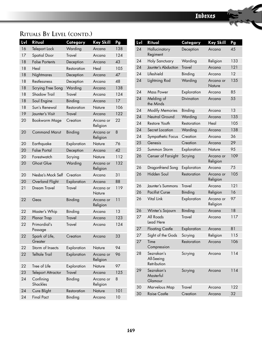| Lvl | Ritual                    | Category      | <b>Key Skill</b>      | Pg  |
|-----|---------------------------|---------------|-----------------------|-----|
| 16  | Teleport Lock             | Warding       | Arcana                | 138 |
| 17  | <b>Spatial Door</b>       | <b>Travel</b> | Arcana                | 124 |
| 18  | <b>False Portents</b>     | Deception     | Arcana                | 43  |
| 18  | Heal                      | Restoration   | Heal                  | 105 |
| 18  | Nightmares                | Deception     | Arcana                | 47  |
| 18  | Restlessness              | Deception     | Arcana                | 48  |
| 18  | Scrying Free Song         | Warding       | Arcana                | 138 |
| 18  | <b>Shadow Trail</b>       | <b>Travel</b> | Arcana                | 124 |
| 18  | Soul Engine               | Binding       | Arcana                | 17  |
| 18  | Sun's Renewal             | Restoration   | Nature                | 106 |
| 19  | Jaunter's Visit           | <b>Travel</b> | Arcana                | 122 |
| 20  | Bookworm Mage             | Creation      | Arcana or<br>Religion | 22  |
| 20  | <b>Command Marut</b>      | Binding       | Arcana or<br>Religion | 8   |
| 20  | Earthquake                | Exploration   | Nature                | 76  |
| 20  | <b>False Portal</b>       | Deception     | Arcana                | 42  |
| 20  | Forestwatch               | Scrying       | Nature                | 112 |
| 20  | <b>Ghost Glue</b>         | Warding       | Arcana or<br>Religion | 132 |
| 20  | Nesba's Mock Self         | Creation      | Arcana                | 31  |
| 20  | Overland Flight           | Exploration   | Arcana                | 88  |
| 21  | Dream Travel              | <b>Travel</b> | Arcana or<br>Nature   | 119 |
| 22  | Geas                      | Binding       | Arcana or<br>Religion | 11  |
| 22  | Master's Whip             | Binding       | Arcana                | 13  |
| 22  | Planar Trap               | <b>Travel</b> | Arcana                | 123 |
| 22  | Primordial's<br>Passage   | <b>Travel</b> | Arcana                | 124 |
| 22  | Spark of Life,<br>Greater | Creation      | Arcana                | 33  |
| 22  | Storm of Insects          | Exploration   | Nature                | 94  |
| 22  | <b>Telltale Trail</b>     | Exploration   | Arcana or<br>Religion | 96  |
| 22  | Tree of Life              | Exploration   | Nature                | 97  |
| 23  | <b>Teleport Attractor</b> | <b>Travel</b> | Arcana                | 125 |
| 24  | Confining<br>Shackles     | Binding       | Arcana or<br>Religion | 8   |
| 24  | Cure Blight               | Restoration   | Nature                | 101 |
| 24  | <b>Final Pact</b>         | Binding       | Arcana                | 10  |

| Lvl | Ritual                                  | Category          | <b>Key Skill</b>      | Pg  |
|-----|-----------------------------------------|-------------------|-----------------------|-----|
| 24  | Hallucinatory<br>Regiment               | Deception         | Arcana                | 45  |
| 24  | Holy Sanctuary                          | Warding           | Religion              | 133 |
| 24  | Jaunter's Abduction                     | <b>Travel</b>     | Arcana                | 121 |
| 24  | Lifeshield                              | Binding           | Arcana                | 12  |
| 24  | Lightning Rod                           | Warding           | Arcana or<br>Nature   | 135 |
| 24  | Mass Power                              | Exploration       | Arcana                | 85  |
| 24  | Melding of<br>the Minds                 | <b>Divination</b> | Arcana                | 55  |
| 24  | <b>Modify Memories</b>                  | Binding           | Arcana                | 13  |
| 24  | <b>Neutral Ground</b>                   | Warding           | Arcana                | 135 |
| 24  | Restore Youth                           | Restoration       | Heal                  | 105 |
| 24  | Secret Location                         | Warding           | Arcana                | 138 |
| 24  | Sympathetic Focus                       | Creation          | Arcana                | 36  |
| 25  | Genesis                                 | Creation          | Arcana                | 29  |
| 25  | Summon Storm                            | Exploration       | Nature                | 95  |
| 26  | Censer of Farsight                      | Scrying           | Arcana or<br>Religion | 109 |
| 26  | Dragonfriend Song                       | Exploration       | Arcana                | 75  |
| 26  | Hidden Soul                             | Restoration       | Arcana or<br>Religion | 105 |
| 26  | Jaunter's Summons                       | <b>Travel</b>     | Arcana                | 121 |
| 26  | <b>Pacifist Curse</b>                   | Binding           | Religion              | 16  |
| 26  | Vital Link                              | Exploration       | Arcana or<br>Religion | 97  |
| 26  | Winter's Sojourn                        | Binding           | Arcana                | 18  |
| 27  | All Roads<br>Lead Here                  | <b>Travel</b>     | Arcana                | 117 |
| 27  | <b>Floating Castle</b>                  | Exploration       | Arcana                | 81  |
| 27  | Sight of the Gods                       | Scrying           | Religion              | 115 |
| 27  | Time<br>Compression                     | Restoration       | Arcana                | 106 |
| 28  | Sezrakan's<br>All-Seeing<br>Retribution | Scrying           | Arcana                | 114 |
| 29  | Sezrakan's<br>Masterful<br>Glamour      | Scrying           | Arcana                | 114 |
| 30  | Marvelous Map                           | Travel            | Arcana                | 122 |
| 30  | <b>Raise Castle</b>                     | Creation          | Arcana                | 32  |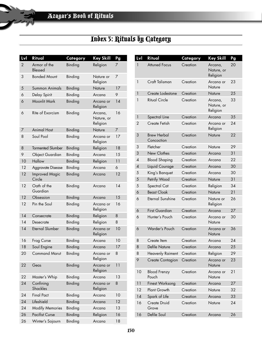# Index 3: Rituals by Category

| Lvl            | Ritual                          | Category | Key Skill                         | Pg |
|----------------|---------------------------------|----------|-----------------------------------|----|
| $\overline{2}$ | Armor of the<br>Blessed         | Binding  | Religion                          | 7  |
| 3              | <b>Bonded Mount</b>             | Binding  | Nature or<br>Religion             | 7  |
| 5              | Summon Animals                  | Binding  | Nature                            | 17 |
| 6              | Delay Spirit                    | Binding  | Arcana                            | 9  |
| 6              | <b>Moonlit Mark</b>             | Binding  | Arcana or<br>Religion             | 14 |
| 6              | Rite of Exorcism                | Binding  | Arcana,<br>Nature, or<br>Religion | 16 |
| 7              | <b>Animal Host</b>              | Binding  | Nature                            | 7  |
| 8              | Soul Pool                       | Binding  | Arcana or<br>Religion             | 17 |
| 8              | <b>Tormented Slumber</b>        | Binding  | Religion                          | 18 |
| 9              | <b>Object Guardian</b>          | Binding  | Arcana                            | 15 |
| 10             | Hallow                          | Binding  | Religion                          | 11 |
| 12             | Aggravate Disease               | Binding  | Arcana                            | 6  |
| 12             | <b>Improved Magic</b><br>Circle | Binding  | Arcana                            | 12 |
| 12             | Oath of the<br>Guardian         | Binding  | Arcana                            | 14 |
| 12             | Obsession                       | Binding  | Arcana                            | 15 |
| 12             | Pin the Soul                    | Binding  | Arcana or<br>Religion             | 16 |
| 14             | Consecrate                      | Binding  | Religion                          | 8  |
| 14             | Desecrate                       | Binding  | Religion                          | 8  |
| 14             | <b>Eternal Slumber</b>          | Binding  | Arcana or<br>Religion             | 10 |
| 16             | Frog Curse                      | Binding  | Arcana                            | 10 |
| 18             | Soul Engine                     | Binding  | Arcana                            | 17 |
| 20             | <b>Command Marut</b>            | Binding  | Arcana or<br>Religion             | 8  |
| 22             | Geas                            | Binding  | Arcana or<br>Religion             | 11 |
| 22             | Master's Whip                   | Binding  | Arcana                            | 13 |
| 24             | Confining<br><b>Shackles</b>    | Binding  | Arcana or<br>Religion             | 8  |
| 24             | <b>Final Pact</b>               | Binding  | Arcana                            | 10 |
| 24             | Lifeshield                      | Binding  | Arcana                            | 12 |
| 24             | <b>Modify Memories</b>          | Binding  | Arcana                            | 13 |
| 26             | <b>Pacifist Curse</b>           | Binding  | Religion                          | 16 |
| 26             | Winter's Sojourn                | Binding  | Arcana                            | 18 |

| Lvl            | Ritual                           | Category | <b>Key Skill</b>                  | Pg |
|----------------|----------------------------------|----------|-----------------------------------|----|
| 1              | <b>Attuned Focus</b>             | Creation | Arcana,<br>Nature, or<br>Religion | 20 |
| 1              | Craft Talisman                   | Creation | Arcana or<br>Nature               | 23 |
| 1              | Create Lodestone                 | Creation | Nature                            | 25 |
| 1              | <b>Ritual Circle</b>             | Creation | Arcana,<br>Nature, or<br>Religion | 33 |
| 1              | Spectral Line                    | Creation | Arcana                            | 35 |
| $\overline{2}$ | Create Fetish                    | Creation | Arcana or<br>Religion             | 24 |
| 3              | <b>Brew Herbal</b><br>Concoction | Creation | Nature                            | 22 |
| 3              | Fletcher                         | Creation | Nature                            | 29 |
| 3              | New Clothes                      | Creation | Arcana                            | 31 |
| 4              | <b>Blood Shaping</b>             | Creation | Arcana                            | 22 |
| 4              | Liquid Courage                   | Creation | Arcana                            | 30 |
| 5              | King's Banquet                   | Creation | Arcana                            | 30 |
| 5              | Petrify Wood                     | Creation | Nature                            | 31 |
| 5              | Spectral Cat                     | Creation | Religion                          | 34 |
| 6              | <b>Beast Cloak</b>               | Creation | Nature                            | 21 |
| 6              | Eternal Sunshine                 | Creation | Nature or<br>Religion             | 26 |
| 6              | <b>First Guardian</b>            | Creation | Arcana                            | 27 |
| 6              | Hunter's Pouch                   | Creation | Arcana or<br>Nature               | 30 |
| 6              | Warder's Pouch                   | Creation | Arcana or<br>Nature               | 36 |
| 8              | Create Item                      | Creation | Arcana                            | 24 |
| 8              | <b>Defile Nature</b>             | Creation | Arcana                            | 25 |
| 8              | <b>Heavenly Raiment</b>          | Creation | Religion                          | 29 |
| 9              | Create Contagion                 | Creation | Arcana or<br>Nature               | 23 |
| 10             | <b>Blood Frenzy</b><br>Pouch     | Creation | Arcana or<br>Nature               | 21 |
| 11             | <b>Finest Worksong</b>           | Creation | Arcana                            | 27 |
| 12             | Plant Growth                     | Creation | Nature                            | 32 |
| 14             | Spark of Life                    | Creation | Arcana                            | 33 |
| 16             | Create Druid<br>Grove            | Creation | Nature                            | 24 |
| 16             | Defile Soul                      | Creation | Arcana                            | 26 |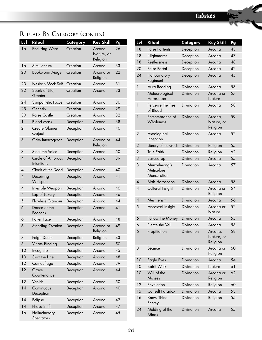| Lvl            | Ritual                          | Category  | <b>Key Skill</b>                  | Pg |
|----------------|---------------------------------|-----------|-----------------------------------|----|
| 16             | <b>Enduring Ward</b>            | Creation  | Arcana,<br>Nature, or<br>Religion | 26 |
| 16             | Simulacrum                      | Creation  | Arcana                            | 33 |
| 20             | <b>Bookworm Mage</b>            | Creation  | Arcana or<br>Religion             | 22 |
| 20             | Nesba's Mock Self               | Creation  | Arcana                            | 31 |
| 22             | Spark of Life,<br>Greater       | Creation  | Arcana                            | 33 |
| 24             | Sympathetic Focus               | Creation  | Arcana                            | 36 |
| 25             | Genesis                         | Creation  | Arcana                            | 29 |
| 30             | <b>Raise Castle</b>             | Creation  | Arcana                            | 32 |
| 1              | <b>Blood Mask</b>               | Deception | Arcana                            | 38 |
| 2              | <b>Create Glamer</b><br>Object  | Deception | Arcana                            | 40 |
| 3              | Grim Interrogator               | Deception | Arcana or<br>Religion             | 44 |
| 3              | Steal the Voice                 | Deception | Arcana                            | 50 |
| $\overline{4}$ | Circle of Amorous<br>Intentions | Deception | Arcana                            | 39 |
| 4              | Cloak of the Dead               | Deception | Arcana                            | 40 |
| $\overline{A}$ | Deceiving<br>Whispers           | Deception | Arcana                            | 41 |
| 4              | Invisible Weapon                | Deception | Arcana                            | 46 |
| $\pmb{4}$      | Lap of Luxury                   | Deception | Arcana                            | 46 |
| 5              | <b>Flawless Glamour</b>         | Deception | Arcana                            | 44 |
| 6              | Dance of the<br>Peacock         | Deception | Arcana                            | 41 |
| 6              | Poker Face                      | Deception | Arcana                            | 48 |
| 6              | <b>Standing Ovation</b>         | Deception | Arcana or<br>Religion             | 49 |
| 7              | Feign Death                     | Deception | Religion                          | 43 |
| 8              | Vitiate Binding                 | Deception | Arcana                            | 50 |
| 10             | Incognito                       | Deception | Arcana                            | 45 |
| 10             | Skirt the Line                  | Deception | Arcana                            | 48 |
| 12             | Camouflage                      | Deception | Arcana                            | 39 |
| 12             | Grave<br>Countenance            | Deception | Arcana                            | 44 |
| 12             | Vanish                          | Deception | Arcana                            | 50 |
| 14             | Continuous<br>Deception         | Deception | Arcana                            | 40 |
| 14             | Eclipse                         | Deception | Arcana                            | 42 |
| 14             | Phase Shift                     | Deception | Arcana                            | 47 |
| 16             | Hallucinatory<br>Spectators     | Deception | Arcana                            | 45 |

| <u>Lvl</u>     | Ritual                                    | Category          | <b>Key Skill</b>                  | Pg |
|----------------|-------------------------------------------|-------------------|-----------------------------------|----|
| 18             | <b>False Portents</b>                     | Deception         | Arcana                            | 43 |
| 18             | Nightmares                                | Deception         | Arcana                            | 47 |
| 18             | Restlessness                              | Deception         | Arcana                            | 48 |
| 20             | <b>False Portal</b>                       | Deception         | Arcana                            | 42 |
| 24             | Hallucinatory<br>Regiment                 | Deception         | Arcana                            | 45 |
| 1              | Aura Reading                              | Divination        | Arcana                            | 53 |
| 1              | Meteorological<br>Horoscope               | Divination        | Arcana or<br><b>Nature</b>        | 57 |
| 1              | Perceive the Ties<br>of Blood             | <b>Divination</b> | Arcana                            | 58 |
| 1              | Remembrance of<br>Wholeness               | <b>Divination</b> | Arcana,<br>Nature, or<br>Religion | 59 |
| 2              | Astrological<br>Inception                 | Divination        | Arcana                            | 52 |
| $\overline{2}$ | Library of the Gods                       | Divination        | Religion                          | 55 |
| 2              | <b>True Faith</b>                         | Divination        | Religion                          | 62 |
| 3              | Eavesdrop                                 | Divination        | Arcana                            | 55 |
| 3              | Munzelmong's<br>Meticulous<br>Mensuration | Divination        | Arcana                            | 57 |
| 4              | <b>Birth Horoscope</b>                    | Divination        | Arcana                            | 53 |
| 4              | Cultural Insight                          | <b>Divination</b> | Arcana or<br>Religion             | 54 |
| 4              | Mesmerism                                 | <b>Divination</b> | Arcana                            | 56 |
| 5              | Ancestral Insight                         | Divination        | Arcana or<br>Nature               | 52 |
| 6              | Follow the Money                          | <b>Divination</b> | Arcana                            | 55 |
| 6              | Pierce the Veil                           | <b>Divination</b> | Arcana                            | 58 |
| 6              | Propitiation                              | <b>Divination</b> | Arcana,<br>Nature, or<br>Religion | 58 |
| 8              | Séance                                    | Divination        | Arcana or<br>Religion             | 60 |
| 10             | Eagle Eyes                                | <b>Divination</b> | Arcana                            | 54 |
| 10             | Spirit Walk                               | Divination        | Nature                            | 61 |
| 10             | Will of the<br><b>Masses</b>              | <b>Divination</b> | Arcana or<br>Religion             | 62 |
| 12             | Revelation                                | <b>Divination</b> | Religion                          | 60 |
| 15             | <b>Consult Paradox</b>                    | <b>Divination</b> | Arcana                            | 53 |
| 16             | Know Thine<br>Enemy                       | Divination        | Religion                          | 55 |
| 24             | Melding of the<br>Minds                   | Divination        | Arcana                            | 55 |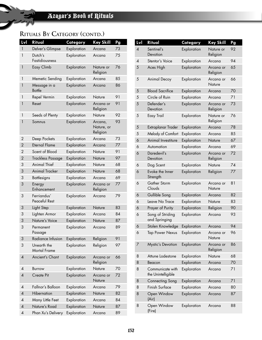| Lvl                      | Ritual                             | Category    | <b>Key Skill</b>                  | Pg |
|--------------------------|------------------------------------|-------------|-----------------------------------|----|
| $\mathbf{1}$             | Delver's Glimpse                   | Exploration | Arcana                            | 73 |
| $\mathbf{1}$             | Dutch's<br>Fastidiousness          | Exploration | Arcana                            | 75 |
| $\mathbf{1}$             | Easy Climb                         | Exploration | Nature or<br>Religion             | 76 |
| 1                        | Memetic Sending                    | Exploration | Arcana                            | 85 |
| 1                        | Message in a<br><b>Bottle</b>      | Exploration | Arcana                            | 86 |
| 1                        | Repel Vermin                       | Exploration | Nature                            | 91 |
| $\mathbf{1}$             | Reset                              | Exploration | Arcana or<br>Religion             | 91 |
| 1                        | Seeds of Plenty                    | Exploration | Nature                            | 92 |
| 1                        | Somnus                             | Exploration | Arcana,<br>Nature, or<br>Religion | 93 |
| 2                        | Deep Pockets                       | Exploration | Arcana                            | 73 |
| $\overline{2}$           | <b>Eternal Flame</b>               | Exploration | Arcana                            | 77 |
| 2                        | Scent of Blood                     | Exploration | Nature                            | 91 |
| $\overline{2}$           | <b>Trackless Passage</b>           | Exploration | Nature                            | 97 |
| 3                        | Animal Thief                       | Exploration | Nature                            | 68 |
| 3                        | <b>Animal Tracker</b>              | Exploration | <b>Nature</b>                     | 68 |
| 3                        | <b>Battlesigns</b>                 | Exploration | Arcana                            | 69 |
| 3                        | Energy<br>Enhancement              | Exploration | Arcana or<br>Religion             | 77 |
| 3                        | Ferriandus'<br>Peaceful Rest       | Exploration | Arcana                            | 79 |
| 3                        | Light Step                         | Exploration | <b>Nature</b>                     | 83 |
| 3                        | Lighten Armor                      | Exploration | Arcana                            | 84 |
| 3                        | Nature's Voice                     | Exploration | Nature                            | 87 |
| 3                        | Permanent<br>Passage               | Exploration | Arcana                            | 89 |
| 3                        | Radiance Infusion                  | Exploration | Religion                          | 91 |
| 3                        | Unearth the<br><b>Mortal Frame</b> | Exploration | Religion                          | 97 |
| 4                        | Ancient's Chant                    | Exploration | Arcana or<br>Religion             | 66 |
| 4                        | Burrow                             | Exploration | Nature                            | 70 |
| $\overline{4}$           | Create Pit                         | Exploration | Arcana or<br>Nature               | 72 |
| 4                        | Fallnor's Balloon                  | Exploration | Arcana                            | 79 |
| 4                        | Hibernation                        | Exploration | Nature                            | 82 |
| $\overline{A}$           | Many Little Feet                   | Exploration | Arcana                            | 84 |
| $\overline{\mathcal{A}}$ | Nature's Road                      | Exploration | Nature                            | 87 |
| 4                        | Phan Xu's Delivery                 | Exploration | Arcana                            | 89 |

| Lvl                      | Ritual                                 | Category    | <b>Key Skill</b>      | Pg |
|--------------------------|----------------------------------------|-------------|-----------------------|----|
| $\overline{\mathcal{A}}$ | Sentinel's<br>Devotion                 | Exploration | Nature or<br>Religion | 92 |
| $\overline{A}$           | Stentor's Voice                        | Exploration | Arcana                | 94 |
| 5                        | Aces High                              | Exploration | Arcana or<br>Religion | 65 |
| 5                        | Animal Decoy                           | Exploration | Arcana or<br>Nature   | 66 |
| 5                        | <b>Blood Sacrifice</b>                 | Exploration | Arcana                | 70 |
| 5                        | Circle of Ruin                         | Exploration | Arcana                | 71 |
| 5                        | Defender's<br>Devotion                 | Exploration | Arcana or<br>Religion | 73 |
| 5                        | Easy Trail                             | Exploration | Nature or<br>Religion | 76 |
| 5                        | Extraplanar Trader                     | Exploration | Arcana                | 78 |
| 5                        | Melody of Comfort                      | Exploration | Arcana                | 85 |
| 6                        | Animal Investiture                     | Exploration | Nature                | 67 |
| 6                        | Automation                             | Exploration | Arcana                | 69 |
| 6                        | Daredevil's<br>Devotion                | Exploration | Arcana or<br>Religion | 72 |
| 6                        | Dog Scent                              | Exploration | Nature                | 74 |
| 6                        | Evoke the Inner<br>Strength            | Exploration | Religion              | 77 |
| 6                        | Gather Storm<br>Clouds                 | Exploration | Arcana or<br>Nature   | 81 |
| 6                        | Gullible Song                          | Exploration | Arcana                | 82 |
| 6                        | Leave No Trace                         | Exploration | Nature                | 83 |
| 6                        | Prayer of Purity                       | Exploration | Religion              | 90 |
| 6                        | Song of Striding<br>and Springing      | Exploration | Arcana                | 93 |
| 6                        | Stolen Knowledge                       | Exploration | Arcana                | 94 |
| 6                        | <b>Tap Power Nexus</b>                 | Exploration | Arcana or<br>Nature   | 96 |
| 7                        | Mystic's Devotion                      | Exploration | Arcana or<br>Religion | 86 |
| 8                        | Attune Lodestone                       | Exploration | Nature                | 68 |
| 8                        | Beacon                                 | Exploration | Arcana                | 70 |
| 8                        | Communicate with<br>the Unintelligible | Exploration | Arcana                | 71 |
| 8                        | Connecting Song                        | Exploration | Arcana                | 71 |
| 8                        | Finish Surface                         | Exploration | Arcana                | 80 |
| 8                        | Open Window<br>(Air)                   | Exploration | Arcana                | 87 |
| 8                        | Open Window<br>(Fire)                  | Exploration | Arcana                | 88 |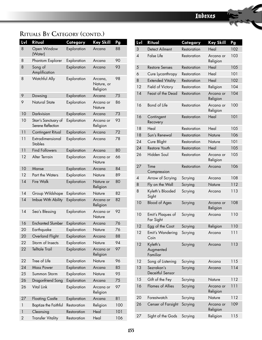| Lvl            | <b>Ritual</b>                             | Category    | <b>Key Skill</b>                  | Pg  |
|----------------|-------------------------------------------|-------------|-----------------------------------|-----|
| 8              | Open Window<br>(Water)                    | Exploration | Arcana                            | 88  |
| 8              | Phantom Explorer                          | Exploration | Arcana                            | 90  |
| 8              | Song of<br>Amplification                  | Exploration | Arcana                            | 93  |
| 8              | Watchful Ally                             | Exploration | Arcana,<br>Nature, or<br>Religion | 98  |
| 9              | Dowsing                                   | Exploration | Arcana                            | 75  |
| 9              | <b>Natural State</b>                      | Exploration | Arcana or<br>Nature               | 86  |
| 10             | Darkvision                                | Exploration | Arcana                            | 73  |
| 10             | Starr's Sanctuary of<br>Serene Reflection | Exploration | Arcana or<br>Religion             | 93  |
| 11             | Contingent Ritual                         | Exploration | Arcana                            | 72  |
| 11             | Extradimensional<br><b>Stables</b>        | Exploration | Arcana                            | 78  |
| 11             | <b>Find Followers</b>                     | Exploration | Arcana                            | 80  |
| 12             | Alter Terrain                             | Exploration | Arcana or<br>Nature               | 66  |
| 10             | Manse                                     | Exploration | Arcana                            | 84  |
| 12             | Part the Waters                           | Exploration | Nature                            | 89  |
| 14             | <b>Fire Walk</b>                          | Exploration | Nature or<br>Religion             | 80  |
| 14             | Group Wildshape                           | Exploration | Nature                            | 82  |
| 14             | Imbue With Ability                        | Exploration | Arcana or<br>Religion             | 82  |
| 14             | Sea's Blessing                            | Exploration | Arcana or<br>Nature               | 92  |
| 16             | <b>Enchanted Slumber</b>                  | Exploration | Arcana                            | 76  |
| 20             | Earthquake                                | Exploration | Nature                            | 76  |
| 20             | Overland Flight                           | Exploration | Arcana                            | 88  |
| 22             | Storm of Insects                          | Exploration | Nature                            | 94  |
| 22             | <b>Telltale Trail</b>                     | Exploration | Arcana or<br>Religion             | 97  |
| 22             | Tree of Life                              | Exploration | Nature                            | 96  |
| 24             | <b>Mass Power</b>                         | Exploration | Arcana                            | 85  |
| 25             | Summon Storm                              | Exploration | Nature                            | 95  |
| 26             | Dragonfriend Song                         | Exploration | Arcana                            | 75  |
| 26             | Vital Link                                | Exploration | Arcana or<br>Religion             | 97  |
| 27             | <b>Floating Castle</b>                    | Exploration | Arcana                            | 81  |
| 1              | <b>Baptize the Faithful</b>               | Restoration | Religion                          | 100 |
| 1              | Cleansing                                 | Restoration | Heal                              | 101 |
| $\overline{c}$ | <b>Transfer Vitality</b>                  | Restoration | Heal                              | 106 |

| Lvl            | Ritual                            | Category    | Key Skill             | Pg  |
|----------------|-----------------------------------|-------------|-----------------------|-----|
| 3              | Detect Ailment                    | Restoration | Heal                  | 102 |
| $\overline{A}$ | <b>False Life</b>                 | Restoration | Arcana or<br>Religion | 103 |
| 5              | <b>Restore Senses</b>             | Restoration | Heal                  | 105 |
| 6              | Cure Lycanthropy                  | Restoration | Heal                  | 101 |
| 8              | <b>Extended Vitality</b>          | Restoration | Heal                  | 102 |
| 12             | Field of Victory                  | Restoration | Religion              | 104 |
| 14             | Feast of the Dead                 | Restoration | Arcana or<br>Religion | 104 |
| 16             | Bond of Life                      | Restoration | Arcana or<br>Religion | 100 |
| 16             | Contingent<br>Recovery            | Restoration | Heal                  | 101 |
| 18             | Heal                              | Restoration | Heal                  | 105 |
| 18             | Sun's Renewal                     | Restoration | Nature                | 106 |
| 24             | Cure Blight                       | Restoration | Nature                | 101 |
| 24             | Restore Youth                     | Restoration | Heal                  | 105 |
| 26             | Hidden Soul                       | Restoration | Arcana or<br>Religion | 105 |
| 27             | Time<br>Compression               | Restoration | Arcana                | 106 |
| 4              | Arrow of Scrying                  | Scrying     | Arcana                | 108 |
| 8              | Fly on the Wall                   | Scrying     | Nature                | 112 |
| 8              | Kyleth's Blooded<br>Sight         | Scrying     | Arcana                | 113 |
| 10             | <b>Blood of Ages</b>              | Scrying     | Arcana or<br>Religion | 108 |
| 10             | Emit's Plaques of<br>Far Sight    | Scrying     | Arcana                | 110 |
| 12             | Egg of the Coot                   | Scrying     | Religion              | 110 |
| 12             | Emit's Wandering<br>Coin          | Scrying     | Arcana                | 111 |
| 12             | Kyleth's<br>Augmented<br>Familiar | Scrying     | Arcana                | 113 |
| 12             | Song of Listening                 | Scrying     | Arcana                | 115 |
| 13             | Sezrakan's<br>Deceitful Sensor    | Scrying     | Arcana                | 114 |
| 15             | Gift of the Fey                   | Scrying     | Nature                | 112 |
| 16             | <b>Flames of Allies</b>           | Scrying     | Arcana or<br>Religion | 111 |
| 20             | Forestwatch                       | Scrying     | Nature                | 112 |
| 26             | Censer of Farsight                | Scrying     | Arcana or<br>Religion | 109 |
| 27             | Sight of the Gods                 | Scrying     | Religion              | 115 |
|                |                                   |             |                       |     |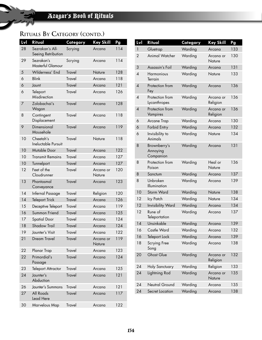| Lvl | Ritual                                | Category      | <b>Key Skill</b>    | Pg  |
|-----|---------------------------------------|---------------|---------------------|-----|
| 28  | Sezrakan's All-<br>Seeing Retribution | Scrying       | Arcana              | 114 |
| 29  | Sezrakan's<br>Masterful Glamour       | Scrying       | Arcana              | 114 |
| 5   | Wilderness' End                       | <b>Travel</b> | Nature              | 128 |
| 6   | <b>Blink</b>                          | <b>Travel</b> | Arcana              | 118 |
| 6   | Jaunt                                 | <b>Travel</b> | Arcana              | 121 |
| 6   | Teleport<br>Misdirection              | <b>Travel</b> | Arcana              | 126 |
| 7   | Zolobachai's<br>Wagon                 | <b>Travel</b> | Arcana              | 128 |
| 8   | Contingent<br>Displacement            | Travel        | Arcana              | 118 |
| 9   | Dimensional<br>Mousehole              | Travel        | Arcana              | 119 |
| 10  | Cheetah's<br>Ineluctable Pursuit      | <b>Travel</b> | Nature              | 118 |
| 10  | Mutable Door                          | <b>Travel</b> | Arcana              | 122 |
| 10  | Transmit Remains                      | <b>Travel</b> | Arcana              | 127 |
| 10  | Tunnelport                            | <b>Travel</b> | Arcana              | 127 |
| 12  | Feet of the<br>Cloudrunner            | <b>Travel</b> | Arcana or<br>Nature | 120 |
| 13  | Phantasmal<br>Conveyance              | <b>Travel</b> | Arcana              | 123 |
| 14  | Infernal Passage                      | <b>Travel</b> | Religion            | 120 |
| 14  | <b>Teleport Trick</b>                 | <b>Travel</b> | Arcana              | 126 |
| 15  | Deceptive Teleport                    | Travel        | Arcana              | 119 |
| 16  | Summon Friend                         | <b>Travel</b> | Arcana              | 125 |
| 17  | <b>Spatial Door</b>                   | <b>Travel</b> | Arcana              | 124 |
| 18  | <b>Shadow Trail</b>                   | <b>Travel</b> | Arcana              | 124 |
| 19  | Jaunter's Visit                       | <b>Travel</b> | Arcana              | 122 |
| 21  | Dream Travel                          | <b>Travel</b> | Arcana or<br>Nature | 119 |
| 22  | Planar Trap                           | <b>Travel</b> | Arcana              | 123 |
| 22  | Primordial's<br>Passage               | <b>Travel</b> | Arcana              | 124 |
| 23  | <b>Teleport Attractor</b>             | <b>Travel</b> | Arcana              | 125 |
| 24  | Jaunter's<br>Abduction                | <b>Travel</b> | Arcana              | 121 |
| 26  | Jaunter's Summons                     | <b>Travel</b> | Arcana              | 121 |
| 27  | All Roads<br>Lead Here                | <b>Travel</b> | Arcana              | 117 |
| 30  | Marvelous Map                         | <b>Travel</b> | Arcana              | 122 |
|     |                                       |               |                     |     |

| Lvl                       | <b>Ritual</b>                         | Category | Key Skill             | Pg  |
|---------------------------|---------------------------------------|----------|-----------------------|-----|
| 1                         | Gluetrap                              | Warding  | Arcana                | 133 |
| $\overline{2}$            | <b>Animal Watcher</b>                 | Warding  | Arcana or<br>Nature   | 130 |
| 3                         | Assassin's Foil                       | Warding  | Arcana                | 131 |
| 4                         | Harmonious<br>Terrain                 | Warding  | Nature                | 133 |
| $\boldsymbol{\Lambda}$    | Protection from<br>Fey                | Warding  | Arcana                | 136 |
| 4                         | Protection from<br>Lycanthropes       | Warding  | Arcana or<br>Religion | 136 |
| $\boldsymbol{\varLambda}$ | Protection from<br>Vampires           | Warding  | Arcana or<br>Religion | 136 |
| 6                         | Arcane Trap                           | Warding  | Arcana                | 130 |
| 6                         | Forbid Entry                          | Warding  | Arcana                | 132 |
| 6                         | Invisibility to<br>Animals            | Warding  | Nature                | 134 |
| 8                         | Brownberry's<br>Annoying<br>Companion | Warding  | Arcana                | 131 |
| 8                         | Protection from<br>Poison             | Warding  | Heal or<br>Nature     | 136 |
| 8                         | Sanctum                               | Warding  | Arcana                | 137 |
| 8                         | Unbroken<br>Illumination              | Warding  | Arcana                | 139 |
| 10                        | Storm Ward                            | Warding  | Nature                | 138 |
| 12                        | Icy Patch                             | Warding  | Nature                | 134 |
| 12                        | <b>Invisibility Ward</b>              | Warding  | Arcana                | 134 |
| 12                        | Rune of<br>Teleportation              | Warding  | Arcana                | 137 |
| 14                        | Unsinkable                            | Warding  | Arcana                | 139 |
| 16                        | Castle Ward                           | Warding  | Arcana                | 132 |
| 16                        | Teleport Lock                         | Warding  | Arcana                | 139 |
| 18                        | Scrying Free<br>Song                  | Warding  | Arcana                | 138 |
| 20                        | <b>Ghost Glue</b>                     | Warding  | Arcana or<br>Religion | 132 |
| 24                        | <b>Holy Sanctuary</b>                 | Warding  | Religion              | 133 |
| 24                        | Lightning Rod                         | Warding  | Arcana or<br>Nature   | 135 |
| 24                        | Neutral Ground                        | Warding  | Arcana                | 135 |
| 24                        | Secret Location                       | Warding  | Arcana                | 138 |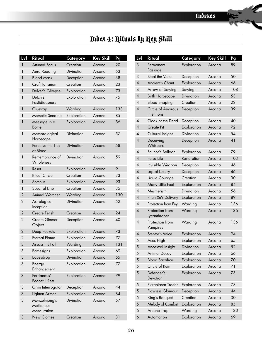iZ.

# Index 4: Rituals by Key Skill

| Lvl            | Ritual                                    | Category          | <b>Key Skill</b> | Pg  |
|----------------|-------------------------------------------|-------------------|------------------|-----|
| 1              | <b>Attuned Focus</b>                      | Creation          | Arcana           | 20  |
| 1              | Aura Reading                              | <b>Divination</b> | Arcana           | 53  |
| 1              | <b>Blood Mask</b>                         | Deception         | Arcana           | 38  |
| 1              | Craft Talisman                            | Creation          | Arcana           | 23  |
| 1              | Delver's Glimpse                          | Exploration       | Arcana           | 73  |
| 1              | Dutch's<br><b>Fastidiousness</b>          | Exploration       | Arcana           | 75  |
| 1              | Gluetrap                                  | Warding           | Arcana           | 133 |
| 1              | Memetic Sending                           | Exploration       | Arcana           | 85  |
| 1              | Message in a<br><b>Bottle</b>             | Exploration       | Arcana           | 86  |
| 1              | Meteorological<br>Horoscope               | Divination        | Arcana           | 57  |
| 1              | Perceive the Ties<br>of Blood             | Divination        | Arcana           | 58  |
| 1              | Remembrance of<br>Wholeness               | Divination        | Arcana           | 59  |
| 1              | Reset                                     | Exploration       | Arcana           | 9   |
| 1              | <b>Ritual Circle</b>                      | Creation          | Arcana           | 33  |
| 1              | Somnus                                    | Exploration       | Arcana           | 93  |
| 1              | Spectral Line                             | Creation          | Arcana           | 35  |
| $\overline{2}$ | <b>Animal Watcher</b>                     | Warding           | Arcana           | 130 |
| $\overline{2}$ | Astrological<br>Inception                 | Divination        | Arcana           | 52  |
| 2              | Create Fetish                             | Creation          | Arcana           | 24  |
| $\overline{2}$ | <b>Create Glamer</b><br>Object            | Deception         | Arcana           | 40  |
| 2              | Deep Pockets                              | Exploration       | Arcana           | 73  |
| $\overline{2}$ | <b>Eternal Flame</b>                      | Exploration       | Arcana           | 77  |
| 3              | Assassin's Foil                           | Warding           | Arcana           | 131 |
| 3              | <b>Battlesigns</b>                        | Exploration       | Arcana           | 69  |
| 3              | Eavesdrop                                 | Divination        | Arcana           | 55  |
| 3              | Energy<br>Enhancement                     | Exploration       | Arcana           | 77  |
| 3              | Ferriandus'<br><b>Peaceful Rest</b>       | Exploration       | Arcana           | 79  |
| 3              | Grim Interrogator                         | Deception         | Arcana           | 44  |
| 3              | Lighten Armor                             | Exploration       | Arcana           | 84  |
| 3              | Munzelmong's<br>Meticulous<br>Mensuration | Divination        | Arcana           | 57  |
| 3              | New Clothes                               | Creation          | Arcana           | 31  |

| Lvl                    | Ritual                          | Category    | <b>Key Skill</b> | Pg  |
|------------------------|---------------------------------|-------------|------------------|-----|
| 3                      | Permanent<br>Passage            | Exploration | Arcana           | 89  |
| 3                      | Steal the Voice                 | Deception   | Arcana           | 50  |
| $\overline{4}$         | Ancient's Chant                 | Exploration | Arcana           | 66  |
| 4                      | Arrow of Scrying                | Scrying     | Arcana           | 108 |
| $\overline{A}$         | <b>Birth Horoscope</b>          | Divination  | Arcana           | 53  |
| $\overline{A}$         | <b>Blood Shaping</b>            | Creation    | Arcana           | 22  |
| $\overline{4}$         | Circle of Amorous<br>Intentions | Deception   | Arcana           | 39  |
| $\overline{4}$         | Cloak of the Dead               | Deception   | Arcana           | 40  |
| $\overline{4}$         | Create Pit                      | Exploration | Arcana           | 72  |
| 4                      | Cultural Insight                | Divination  | Arcana           | 54  |
| $\overline{4}$         | Deceiving<br>Whispers           | Deception   | Arcana           | 41  |
| 4                      | Fallnor's Balloon               | Exploration | Arcana           | 79  |
| $\overline{4}$         | <b>False Life</b>               | Restoration | Arcana           | 103 |
| 4                      | Invisible Weapon                | Deception   | Arcana           | 46  |
| $\overline{4}$         | Lap of Luxury                   | Deception   | Arcana           | 46  |
| 4                      | Liquid Courage                  | Creation    | Arcana           | 30  |
| $\overline{4}$         | Many Little Feet                | Exploration | Arcana           | 84  |
| 4                      | Mesmerism                       | Divination  | Arcana           | 56  |
| 4                      | Phan Xu's Delivery              | Exploration | Arcana           | 89  |
| 4                      | Protection from Fey             | Warding     | Arcana           | 136 |
| $\boldsymbol{\Lambda}$ | Protection from<br>Lycanthropes | Warding     | Arcana           | 136 |
| $\overline{4}$         | Protection from<br>Vampires     | Warding     | Arcana           | 136 |
| 4                      | Stentor's Voice                 | Exploration | Arcana           | 94  |
| 5                      | Aces High                       | Exploration | Arcana           | 65  |
| 5                      | Ancestral Insight               | Divination  | Arcana           | 52  |
| 5                      | <b>Animal Decoy</b>             | Exploration | Arcana           | 66  |
| 5                      | <b>Blood Sacrifice</b>          | Exploration | Arcana           | 70  |
| 5                      | Circle of Ruin                  | Exploration | Arcana           | 71  |
| 5                      | Defender's<br>Devotion          | Exploration | Arcana           | 73  |
| 5                      | Extraplanar Trader              | Exploration | Arcana           | 78  |
| 5                      | <b>Flawless Glamour</b>         | Deception   | Arcana           | 44  |
| 5                      | King's Banquet                  | Creation    | Arcana           | 30  |
| 5                      | Melody of Comfort               | Exploration | Arcana           | 85  |
| 6                      | Arcane Trap                     | Warding     | Arcana           | 130 |
| 6                      | Automation                      | Exploration | Arcana           | 69  |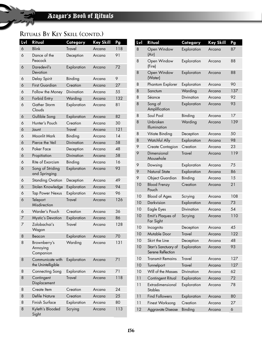| Lvl | Ritual                                 | Category      | <b>Key Skill</b> | Pg  |
|-----|----------------------------------------|---------------|------------------|-----|
| 6   | <b>Blink</b>                           | <b>Travel</b> | Arcana           | 118 |
| 6   | Dance of the<br>Peacock                | Deception     | Arcana           | 91  |
| 6   | Daredevil's<br>Devotion                | Exploration   | Arcana           | 72  |
| 6   | Delay Spirit                           | Binding       | Arcana           | 9   |
| 6   | <b>First Guardian</b>                  | Creation      | Arcana           | 27  |
| 6   | Follow the Money                       | Divination    | Arcana           | 55  |
| 6   | Forbid Entry                           | Warding       | Arcana           | 132 |
| 6   | Gather Storm<br>Clouds                 | Exploration   | Arcana           | 81  |
| 6   | Gullible Song                          | Exploration   | Arcana           | 82  |
| 6   | Hunter's Pouch                         | Creation      | Arcana           | 30  |
| 6   | Jaunt                                  | <b>Travel</b> | Arcana           | 121 |
| 6   | Moonlit Mark                           | Binding       | Arcana           | 14  |
| 6   | Pierce the Veil                        | Divination    | Arcana           | 58  |
| 6   | Poker Face                             | Deception     | Arcana           | 48  |
| 6   | Propitiation                           | Divination    | Arcana           | 58  |
| 6   | Rite of Exorcism                       | Binding       | Arcana           | 16  |
| 6   | Song of Striding<br>and Springing      | Exploration   | Arcana           | 93  |
| 6   | <b>Standing Ovation</b>                | Deception     | Arcana           | 49  |
| 6   | Stolen Knowledge                       | Exploration   | Arcana           | 94  |
| 6   | <b>Tap Power Nexus</b>                 | Exploration   | Arcana           | 96  |
| 6   | Teleport<br>Misdirection               | <b>Travel</b> | Arcana           | 126 |
| 6   | Warder's Pouch                         | Creation      | Arcana           | 36  |
| 7   | <b>Mystic's Devotion</b>               | Exploration   | Arcana           | 86  |
| 7   | Zolobachai's<br>Wagon                  | <b>Travel</b> | Arcana           | 128 |
| 8   | Beacon                                 | Exploration   | Arcana           | 70  |
| 8   | Brownberry's<br>Annoying<br>Companion  | Warding       | Arcana           | 131 |
| 8   | Communicate with<br>the Unintelligible | Exploration   | Arcana           | 71  |
| 8   | Connecting Song                        | Exploration   | Arcana           | 71  |
| 8   | Contingent<br>Displacement             | <b>Travel</b> | Arcana           | 118 |
| 8   | Create Item                            | Creation      | Arcana           | 24  |
| 8   | <b>Defile Nature</b>                   | Creation      | Arcana           | 25  |
| 8   | Finish Surface                         | Exploration   | Arcana           | 80  |
| 8   | Kyleth's Blooded<br>Sight              | Scrying       | Arcana           | 113 |

| Lvl | Ritual                                    | Category      | <b>Key Skill</b> | Pg  |
|-----|-------------------------------------------|---------------|------------------|-----|
| 8   | Open Window<br>(Air)                      | Exploration   | Arcana           | 87  |
| 8   | Open Window<br>(Fire)                     | Exploration   | Arcana           | 88  |
| 8   | Open Window<br>(Water)                    | Exploration   | Arcana           | 88  |
| 8   | Phantom Explorer                          | Exploration   | Arcana           | 90  |
| 8   | Sanctum                                   | Warding       | Arcana           | 137 |
| 8   | Séance                                    | Divination    | Arcana           | 92  |
| 8   | Song of<br>Amplification                  | Exploration   | Arcana           | 93  |
| 8   | Soul Pool                                 | Binding       | Arcana           | 17  |
| 8   | Unbroken<br><b>Illumination</b>           | Warding       | Arcana           | 139 |
| 8   | Vitiate Binding                           | Deception     | Arcana           | 50  |
| 8   | <b>Watchful Ally</b>                      | Exploration   | Arcana           | 98  |
| 9   | Create Contagion                          | Creation      | Arcana           | 23  |
| 9   | Dimensional<br>Mousehole                  | <b>Travel</b> | Arcana           | 119 |
| 9   | Dowsing                                   | Exploration   | Arcana           | 75  |
| 9   | Natural State                             | Exploration   | Arcana           | 86  |
| 9   | <b>Object Guardian</b>                    | Binding       | Arcana           | 15  |
| 10  | <b>Blood Frenzy</b><br>Pouch              | Creation      | Arcana           | 21  |
| 10  | <b>Blood of Ages</b>                      | Scrying       | Arcana           | 108 |
| 10  | Darkvision                                | Exploration   | Arcana           | 73  |
| 10  | Eagle Eyes                                | Divination    | Arcana           | 54  |
| 10  | Emit's Plaques of<br>Far Sight            | Scrying       | Arcana           | 110 |
| 10  | Incognito                                 | Deception     | Arcana           | 45  |
| 10  | Mutable Door                              | Travel        | Arcana           | 122 |
| 10  | Skirt the Line                            | Deception     | Arcana           | 48  |
| 10  | Starr's Sanctuary of<br>Serene Reflection | Exploration   | Arcana           | 93  |
| 10  | Transmit Remains                          | <b>Travel</b> | Arcana           | 127 |
| 10  | Tunnelport                                | <b>Travel</b> | Arcana           | 127 |
| 10  | Will of the Masses                        | Divination    | Arcana           | 62  |
| 11  | Contingent Ritual                         | Exploration   | Arcana           | 72  |
| 11  | Extradimensional<br><b>Stables</b>        | Exploration   | Arcana           | 78  |
| 11  | <b>Find Followers</b>                     | Exploration   | Arcana           | 80  |
| 11  | Finest Worksong                           | Creation      | Arcana           | 27  |
| 12  | Aggravate Disease                         | Binding       | Arcana           | 6   |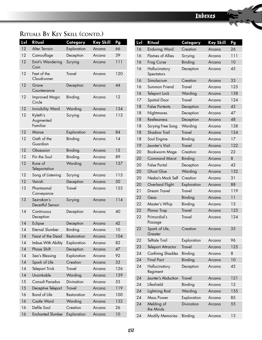| Lvl | Ritual                            | Category      | <b>Key Skill</b> | Pg  |
|-----|-----------------------------------|---------------|------------------|-----|
| 12  | Alter Terrain                     | Exploration   | Arcana           | 66  |
| 12  | Camouflage                        | Deception     | Arcana           | 39  |
| 12  | Emit's Wandering<br>Coin          | Scrying       | Arcana           | 111 |
| 12  | Feet of the<br>Cloudrunner        | <b>Travel</b> | Arcana           | 120 |
| 12  | Grave<br>Countenance              | Deception     | Arcana           | 44  |
| 12  | <b>Improved Magic</b><br>Circle   | Binding       | Arcana           | 12  |
| 12  | <b>Invisibility Ward</b>          | Warding       | Arcana           | 134 |
| 12  | Kyleth's<br>Augmented<br>Familiar | Scrying       | Arcana           | 113 |
| 12  | Manse                             | Exploration   | Arcana           | 84  |
| 12  | Oath of the<br>Guardian           | Binding       | Arcana           | 14  |
| 12  | Obsession                         | Binding       | Arcana           | 15  |
| 12  | Pin the Soul                      | Binding       | Arcana           | 89  |
| 12  | Rune of<br>Teleportation          | Warding       | Arcana           | 137 |
| 12  | Song of Listening                 | Scrying       | Arcana           | 115 |
| 12  | Vanish                            | Deception     | Arcana           | 50  |
| 13  | Phantasmal<br>Conveyance          | <b>Travel</b> | Arcana           | 123 |
| 13  | Sezrakan's<br>Deceitful Sensor    | Scrying       | Arcana           | 114 |
| 14  | Continuous<br>Deception           | Deception     | Arcana           | 40  |
| 14  | Eclipse                           | Deception     | Arcana           | 42  |
| 14  | <b>Eternal Slumber</b>            | Binding       | Arcana           | 10  |
| 14  | Feast of the Dead                 | Restoration   | Arcana           | 104 |
| 14  | Imbue With Ability                | Exploration   | Arcana           | 82  |
| 14  | Phase Shift                       | Deception     | Arcana           | 47  |
| 14  | Sea's Blessing                    | Exploration   | Arcana           | 92  |
| 14  | Spark of Life                     | Creation      | Arcana           | 33  |
| 14  | <b>Teleport Trick</b>             | <b>Travel</b> | Arcana           | 126 |
| 14  | Unsinkable                        | Warding       | Arcana           | 139 |
| 15  | Consult Paradox                   | Divination    | Arcana           | 53  |
| 15  | Deceptive Teleport                | <b>Travel</b> | Arcana           | 119 |
| 16  | Bond of Life                      | Restoration   | Arcana           | 100 |
| 16  | Castle Ward                       | Warding       | Arcana           | 132 |
| 16  | Defile Soul                       | Creation      | Arcana           | 26  |
| 16  | <b>Enchanted Slumber</b>          | Exploration   | Arcana           | 10  |

| Lvl | Ritual                      | Category          | Key Skill | Pg  |
|-----|-----------------------------|-------------------|-----------|-----|
| 16  | <b>Enduring Ward</b>        | Creation          | Arcana    | 26  |
| 16  | <b>Flames of Allies</b>     | Scrying           | Arcana    | 111 |
| 16  | Frog Curse                  | Binding           | Arcana    | 10  |
| 16  | Hallucinatory<br>Spectators | Deception         | Arcana    | 45  |
| 16  | Simulacrum                  | Creation          | Arcana    | 33  |
| 16  | Summon Friend               | <b>Travel</b>     | Arcana    | 125 |
| 16  | Teleport Lock               | Warding           | Arcana    | 138 |
| 17  | <b>Spatial Door</b>         | <b>Travel</b>     | Arcana    | 124 |
| 18  | <b>False Portents</b>       | Deception         | Arcana    | 43  |
| 18  | Nightmares                  | Deception         | Arcana    | 47  |
| 18  | Restlessness                | Deception         | Arcana    | 48  |
| 18  | Scrying Free Song           | Warding           | Arcana    | 138 |
| 18  | <b>Shadow Trail</b>         | <b>Travel</b>     | Arcana    | 124 |
| 18  | Soul Engine                 | Binding           | Arcana    | 17  |
| 19  | Jaunter's Visit             | <b>Travel</b>     | Arcana    | 122 |
| 20  | Bookworm Mage               | Creation          | Arcana    | 22  |
| 20  | <b>Command Marut</b>        | Binding           | Arcana    | 8   |
| 20  | <b>False Portal</b>         | Deception         | Arcana    | 42  |
| 20  | <b>Ghost Glue</b>           | Warding           | Arcana    | 132 |
| 20  | Nesba's Mock Self           | Creation          | Arcana    | 31  |
| 20  | Overland Flight             | Exploration       | Arcana    | 88  |
| 21  | Dream Travel                | <b>Travel</b>     | Arcana    | 119 |
| 22  | Geas                        | Binding           | Arcana    | 11  |
| 22  | Master's Whip               | Binding           | Arcana    | 13  |
| 22  | Planar Trap                 | <b>Travel</b>     | Arcana    | 123 |
| 22  | Primordial's<br>Passage     | <b>Travel</b>     | Arcana    | 124 |
| 22  | Spark of Life,<br>Greater   | Creation          | Arcana    | 33  |
| 22  | <b>Telltale Trail</b>       | Exploration       | Arcana    | 96  |
| 23  | <b>Teleport Attractor</b>   | <b>Travel</b>     | Arcana    | 125 |
| 24  | <b>Confining Shackles</b>   | Binding           | Arcana    | 8   |
| 24  | <b>Final Pact</b>           | Binding           | Arcana    | 10  |
| 24  | Hallucinatory<br>Regiment   | Deception         | Arcana    | 45  |
| 24  | Jaunter's Abduction         | <b>Travel</b>     | Arcana    | 121 |
| 24  | Lifeshield                  | Binding           | Arcana    | 12  |
| 24  | Lightning Rod               | Warding           | Arcana    | 135 |
| 24  | <b>Mass Power</b>           | Exploration       | Arcana    | 85  |
| 24  | Melding of<br>the Minds     | <b>Divination</b> | Arcana    | 55  |
| 24  | <b>Modify Memories</b>      | Binding           | Arcana    | 13  |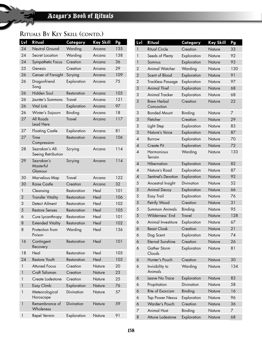| Lvl            | Ritual                                | Category      | <b>Key Skill</b> | Pg  |
|----------------|---------------------------------------|---------------|------------------|-----|
| 24             | Neutral Ground                        | Warding       | Arcana           | 135 |
| 24             | Secret Location                       | Warding       | Arcana           | 138 |
| 24             | Sympathetic Focus                     | Creation      | Arcana           | 36  |
| 25             | Genesis                               | Creation      | Arcana           | 29  |
| 26             | Censer of Farsight                    | Scrying       | Arcana           | 109 |
| 26             | Dragonfriend<br>Song                  | Exploration   | Arcana           | 75  |
| 26             | Hidden Soul                           | Restoration   | Arcana           | 105 |
| 26             | Jaunter's Summons                     | <b>Travel</b> | Arcana           | 121 |
| 26             | <b>Vital Link</b>                     | Exploration   | Arcana           | 97  |
| 26             | Winter's Sojourn                      | Binding       | Arcana           | 18  |
| 27             | All Roads<br>Lead Here                | <b>Travel</b> | Arcana           | 117 |
| 27             | <b>Floating Castle</b>                | Exploration   | Arcana           | 81  |
| 27             | Time<br>Compression                   | Restoration   | Arcana           | 106 |
| 28             | Sezrakan's All-<br>Seeing Retribution | Scrying       | Arcana           | 114 |
| 29             | Sezrakan's<br>Masterful<br>Glamour    | Scrying       | Arcana           | 114 |
| 30             | Marvelous Map                         | <b>Travel</b> | Arcana           | 122 |
| 30             | <b>Raise Castle</b>                   | Creation      | Arcana           | 32  |
| 1              | Cleansing                             | Restoration   | Heal             | 101 |
| $\overline{2}$ | <b>Transfer Vitality</b>              | Restoration   | Heal             | 106 |
| 3              | Detect Ailment                        | Restoration   | Heal             | 102 |
| 5              | <b>Restore Senses</b>                 | Restoration   | Heal             | 105 |
| 6              | Cure Lycanthropy                      | Restoration   | Heal             | 101 |
| 8              | <b>Extended Vitality</b>              | Restoration   | Heal             | 102 |
| 8              | Protection from<br>Poison             | Warding       | Heal             | 136 |
| 16             | Contingent<br>Recovery                | Restoration   | Heal             | 101 |
| 18             | Heal                                  | Restoration   | Heal             | 105 |
| 24             | Restore Youth                         | Restoration   | Heal             | 105 |
| 1              | <b>Attuned Focus</b>                  | Creation      | Nature           | 20  |
| 1              | Craft Talisman                        | Creation      | Nature           | 23  |
| 1              | Create Lodestone                      | Creation      | Nature           | 25  |
| 1              | Easy Climb                            | Exploration   | Nature           | 76  |
| 1              | Meteorological<br>Horoscope           | Divination    | Nature           | 57  |
| 1              | Remembrance of<br>Wholeness           | Divination    | Nature           | 59  |
| 1              | Repel Vermin                          | Exploration   | Nature           | 91  |

| Lvl                      | Ritual                           | Category          | <b>Key Skill</b> | Pg  |
|--------------------------|----------------------------------|-------------------|------------------|-----|
| 1                        | <b>Ritual Circle</b>             | Creation          | Nature           | 33  |
| 1                        | Seeds of Plenty                  | Exploration       | Nature           | 92  |
| $\mathbf{1}$             | Somnus                           | Exploration       | Nature           | 93  |
| 2                        | <b>Animal Watcher</b>            | Warding           | Nature           | 130 |
| $\overline{2}$           | Scent of Blood                   | Exploration       | Nature           | 91  |
| 2                        | <b>Trackless Passage</b>         | Exploration       | Nature           | 97  |
| 3                        | <b>Animal Thief</b>              | Exploration       | Nature           | 68  |
| 3                        | Animal Tracker                   | Exploration       | Nature           | 68  |
| 3                        | <b>Brew Herbal</b><br>Concoction | Creation          | Nature           | 22  |
| 3                        | <b>Bonded Mount</b>              | Binding           | Nature           | 7   |
| 3                        | Fletcher                         | Creation          | Nature           | 29  |
| 3                        | Light Step                       | Exploration       | Nature           | 83  |
| 3                        | Nature's Voice                   | Exploration       | Nature           | 87  |
| 4                        | Burrow                           | Exploration       | Nature           | 70  |
| $\overline{A}$           | <b>Create Pit</b>                | Exploration       | Nature           | 72  |
| $\overline{A}$           | <b>Harmonious</b><br>Terrain     | Warding           | Nature           | 133 |
| $\overline{A}$           | Hibernation                      | Exploration       | Nature           | 82  |
| $\overline{\mathcal{A}}$ | Nature's Road                    | Exploration       | Nature           | 87  |
| $\overline{A}$           | Sentinel's Devotion              | Exploration       | Nature           | 92  |
| 5                        | Ancestral Insight                | <b>Divination</b> | Nature           | 52  |
| 5                        | <b>Animal Decoy</b>              | Exploration       | Nature           | 66  |
| 5                        | Easy Trail                       | Exploration       | Nature           | 76  |
| 5                        | Petrify Wood                     | Creation          | Nature           | 31  |
| 5                        | Summon Animals                   | Binding           | Nature           | 95  |
| 5                        | Wilderness' End                  | <b>Travel</b>     | Nature           | 128 |
| 6                        | Animal Investiture               | Exploration       | Nature           | 67  |
| 6                        | <b>Beast Cloak</b>               | Creation          | Nature           | 21  |
| 6                        | Dog Scent                        | Exploration       | Nature           | 74  |
| 6                        | <b>Eternal Sunshine</b>          | Creation          | Nature           | 26  |
| 6                        | Gather Storm<br>Clouds           | Exploration       | Nature           | 81  |
| 6                        | Hunter's Pouch                   | Creation          | Nature           | 30  |
| 6                        | Invisibility to<br>Animals       | Warding           | Nature           | 134 |
| 6                        | Leave No Trace                   | Exploration       | Nature           | 83  |
| 6                        | Propitiation                     | Divination        | Nature           | 58  |
| 6                        | Rite of Exorcism                 | Binding           | Nature           | 16  |
| 6                        | <b>Tap Power Nexus</b>           | Exploration       | Nature           | 96  |
| 6                        | Warder's Pouch                   | Creation          | Nature           | 36  |
| 7                        | <b>Animal Host</b>               | Binding           | Nature           | 7   |
| 8                        | Attune Lodestone                 | Exploration       | Nature           | 68  |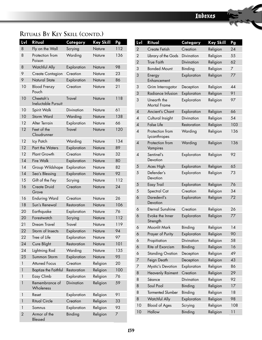| Lvl            | Ritual                                  | Category          | <b>Key Skill</b> | Pg  |
|----------------|-----------------------------------------|-------------------|------------------|-----|
| 8              | Fly on the Wall                         | Scrying           | Nature           | 112 |
| 8              | Protection from<br>Poison               | Warding           | Nature           | 136 |
| 8              | <b>Watchful Ally</b>                    | Exploration       | Nature           | 98  |
| 9              | Create Contagion                        | Creation          | Nature           | 23  |
| 9              | Natural State                           | Exploration       | Nature           | 86  |
| 10             | <b>Blood Frenzy</b><br>Pouch            | Creation          | Nature           | 21  |
| 10             | Cheetah's<br><b>Ineluctable Pursuit</b> | <b>Travel</b>     | Nature           | 118 |
| 10             | Spirit Walk                             | Divination        | Nature           | 61  |
| 10             | <b>Storm Ward</b>                       | Warding           | Nature           | 138 |
| 12             | Alter Terrain                           | Exploration       | Nature           | 66  |
| 12             | Feet of the<br>Cloudrunner              | <b>Travel</b>     | Nature           | 120 |
| 12             | Icy Patch                               | Warding           | Nature           | 134 |
| 12             | Part the Waters                         | Exploration       | Nature           | 89  |
| 12             | Plant Growth                            | Creation          | Nature           | 32  |
| 14             | <b>Fire Walk</b>                        | Exploration       | Nature           | 80  |
| 14             | Group Wildshape                         | Exploration       | Nature           | 82  |
| 14             | Sea's Blessing                          | Exploration       | Nature           | 92  |
| 15             | Gift of the Fey                         | Scrying           | Nature           | 112 |
| 16             | Create Druid<br>Grove                   | Creation          | Nature           | 24  |
| 16             | <b>Enduring Ward</b>                    | Creation          | Nature           | 26  |
| 18             | Sun's Renewal                           | Restoration       | Nature           | 106 |
| 20             | Earthquake                              | Exploration       | Nature           | 76  |
| 20             | Forestwatch                             | Scrying           | Nature           | 112 |
| 21             | Dream Travel                            | <b>Travel</b>     | Nature           | 119 |
| 22             | Storm of Insects                        | Exploration       | Nature           | 94  |
| 22             | Tree of Life                            | Exploration       | Nature           | 97  |
| 24             | Cure Blight                             | Restoration       | Nature           | 101 |
| 24             | Lightning Rod                           | Warding           | Nature           | 135 |
| 25             | Summon Storm                            | Exploration       | Nature           | 95  |
| 1              | <b>Attuned Focus</b>                    | Creation          | Religion         | 20  |
| 1              | <b>Baptize the Faithful</b>             | Restoration       | Religion         | 100 |
| 1              | Easy Climb                              | Exploration       | Religion         | 76  |
| 1              | Remembrance of<br>Wholeness             | <b>Divination</b> | Religion         | 59  |
| 1              | Reset                                   | Exploration       | Religion         | 91  |
| 1              | <b>Ritual Circle</b>                    | Creation          | Religion         | 33  |
| 1              | Somnus                                  | Exploration       | Religion         | 93  |
| $\overline{2}$ | Armor of the<br>Blessed                 | Binding           | Religion         | 7   |

| Lvl            | Ritual                             | Category          | <b>Key Skill</b> | Pg  |
|----------------|------------------------------------|-------------------|------------------|-----|
| $\overline{2}$ | Create Fetish                      | Creation          | Religion         | 24  |
| 2              | Library of the Gods                | Divination        | Religion         | 55  |
| $\overline{2}$ | <b>True Faith</b>                  | Divination        | Religion         | 62  |
| 3              | <b>Bonded Mount</b>                | Binding           | Religion         | 7   |
| 3              | Energy<br>Enhancement              | Exploration       | Religion         | 77  |
| 3              | Grim Interrogator                  | Deception         | Religion         | 44  |
| 3              | Radiance Infusion                  | Exploration       | Religion         | 91  |
| 3              | Unearth the<br><b>Mortal Frame</b> | Exploration       | Religion         | 97  |
| 4              | Ancient's Chant                    | Exploration       | Religion         | 66  |
| 4              | Cultural Insight                   | <b>Divination</b> | Religion         | 54  |
| $\overline{4}$ | <b>False Life</b>                  | Restoration       | Religion         | 103 |
| 4              | Protection from<br>Lycanthropes    | Warding           | Religion         | 136 |
| $\overline{4}$ | Protection from<br>Vampires        | Warding           | Religion         | 136 |
| 4              | Sentinel's<br>Devotion             | Exploration       | Religion         | 92  |
| 5              | Aces High                          | Exploration       | Religion         | 65  |
| 5              | Defender's<br>Devotion             | Exploration       | Religion         | 73  |
| 5              | Easy Trail                         | Exploration       | Religion         | 76  |
| 5              | Spectral Cat                       | Creation          | Religion         | 34  |
| 6              | Daredevil's<br>Devotion            | Exploration       | Religion         | 72  |
| 6              | <b>Eternal Sunshine</b>            | Creation          | Religion         | 26  |
| 6              | Evoke the Inner<br>Strength        | Exploration       | Religion         | 77  |
| 6              | Moonlit Mark                       | Binding           | Religion         | 14  |
| 6              | Prayer of Purity                   | Exploration       | Religion         | 90  |
| 6              | Propitiation                       | Divination        | Religion         | 58  |
| 6              | Rite of Exorcism                   | Binding           | Religion         | 16  |
| 6              | <b>Standing Ovation</b>            | Deception         | Religion         | 49  |
| 7              | Feign Death                        | Deception         | Religion         | 43  |
| 7              | <b>Mystic's Devotion</b>           | Exploration       | Religion         | 86  |
| 8              | <b>Heavenly Raiment</b>            | Creation          | Religion         | 29  |
| 8              | Séance                             | Divination        | Religion         | 92  |
| 8              | Soul Pool                          | Binding           | Religion         | 17  |
| 8              | <b>Tormented Slumber</b>           | Binding           | Religion         | 18  |
| 8              | <b>Watchful Ally</b>               | Exploration       | Religion         | 98  |
| 10             | <b>Blood of Ages</b>               | Scrying           | Religion         | 108 |
| 10             | Hallow                             | Binding           | Religion         | 11  |